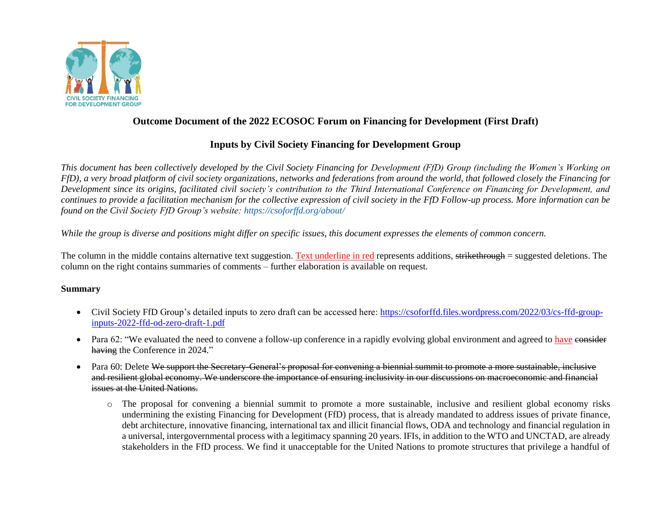

## **Outcome Document of the 2022 ECOSOC Forum on Financing for Development (First Draft)**

## **Inputs by Civil Society Financing for Development Group**

*This document has been collectively developed by the Civil Society Financing for Development (FfD) Group (including the Women's Working on FfD), a very broad platform of civil society organizations, networks and federations from around the world, that followed closely the Financing for Development since its origins, facilitated civil society's contribution to the Third International Conference on Financing for Development, and continues to provide a facilitation mechanism for the collective expression of civil society in the FfD Follow-up process. More information can be found on the Civil Society FfD Group's website: https://csoforffd.org/about/* 

*While the group is diverse and positions might differ on specific issues, this document expresses the elements of common concern.* 

The column in the middle contains alternative text suggestion. Text underline in red represents additions, strikethrough = suggested deletions. The column on the right contains summaries of comments – further elaboration is available on request.

## **Summary**

- Civil Society FfD Group's detailed inputs to zero draft can be accessed here: [https://csoforffd.files.wordpress.com/2022/03/cs-ffd-group](https://csoforffd.files.wordpress.com/2022/03/cs-ffd-group-inputs-2022-ffd-od-zero-draft-1.pdf)[inputs-2022-ffd-od-zero-draft-1.pdf](https://csoforffd.files.wordpress.com/2022/03/cs-ffd-group-inputs-2022-ffd-od-zero-draft-1.pdf)
- Para 62: "We evaluated the need to convene a follow-up conference in a rapidly evolving global environment and agreed to have consider having the Conference in 2024."
- Para 60: Delete We support the Secretary-General's proposal for convening a biennial summit to promote a more sustainable, inclusive and resilient global economy. We underscore the importance of ensuring inclusivity in our discussions on macroeconomic and financial issues at the United Nations.
	- o The proposal for convening a biennial summit to promote a more sustainable, inclusive and resilient global economy risks undermining the existing Financing for Development (FfD) process, that is already mandated to address issues of private finance, debt architecture, innovative financing, international tax and illicit financial flows, ODA and technology and financial regulation in a universal, intergovernmental process with a legitimacy spanning 20 years. IFIs, in addition to the WTO and UNCTAD, are already stakeholders in the FfD process. We find it unacceptable for the United Nations to promote structures that privilege a handful of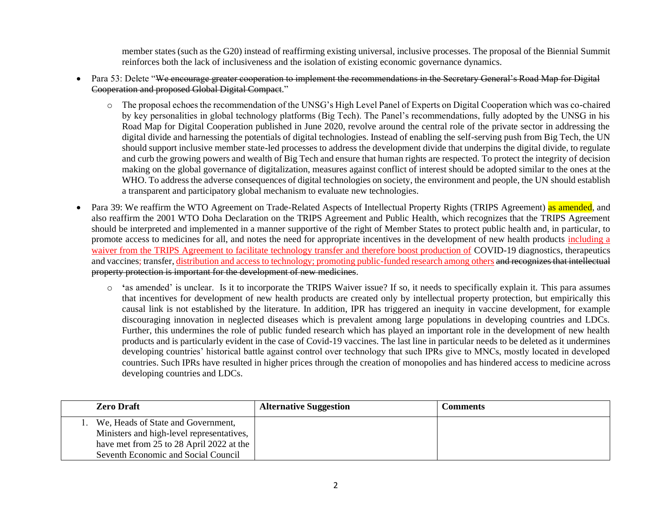member states (such as the G20) instead of reaffirming existing universal, inclusive processes. The proposal of the Biennial Summit reinforces both the lack of inclusiveness and the isolation of existing economic governance dynamics.

- Para 53: Delete "We encourage greater cooperation to implement the recommendations in the Secretary General's Road Map for Digital Cooperation and proposed Global Digital Compact."
	- o The proposal echoes the recommendation of the UNSG's High Level Panel of Experts on Digital Cooperation which was co-chaired by key personalities in global technology platforms (Big Tech). The Panel's recommendations, fully adopted by the UNSG in his Road Map for Digital Cooperation published in June 2020, revolve around the central role of the private sector in addressing the digital divide and harnessing the potentials of digital technologies. Instead of enabling the self-serving push from Big Tech, the UN should support inclusive member state-led processes to address the development divide that underpins the digital divide, to regulate and curb the growing powers and wealth of Big Tech and ensure that human rights are respected. To protect the integrity of decision making on the global governance of digitalization, measures against conflict of interest should be adopted similar to the ones at the WHO. To address the adverse consequences of digital technologies on society, the environment and people, the UN should establish a transparent and participatory global mechanism to evaluate new technologies.
- Para 39: We reaffirm the WTO Agreement on Trade-Related Aspects of Intellectual Property Rights (TRIPS Agreement) as amended, and also reaffirm the 2001 WTO Doha Declaration on the TRIPS Agreement and Public Health, which recognizes that the TRIPS Agreement should be interpreted and implemented in a manner supportive of the right of Member States to protect public health and, in particular, to promote access to medicines for all, and notes the need for appropriate incentives in the development of new health products including a waiver from the TRIPS Agreement to facilitate technology transfer and therefore boost production of COVID-19 diagnostics, therapeutics and vaccines; transfer, distribution and access to technology; promoting public-funded research among others and recognizes that intellectual property protection is important for the development of new medicines.
	- o **'**as amended' is unclear. Is it to incorporate the TRIPS Waiver issue? If so, it needs to specifically explain it. This para assumes that incentives for development of new health products are created only by intellectual property protection, but empirically this causal link is not established by the literature. In addition, IPR has triggered an inequity in vaccine development, for example discouraging innovation in neglected diseases which is prevalent among large populations in developing countries and LDCs. Further, this undermines the role of public funded research which has played an important role in the development of new health products and is particularly evident in the case of Covid-19 vaccines. The last line in particular needs to be deleted as it undermines developing countries' historical battle against control over technology that such IPRs give to MNCs, mostly located in developed countries. Such IPRs have resulted in higher prices through the creation of monopolies and has hindered access to medicine across developing countries and LDCs.

| <b>Zero Draft</b>                         | <b>Alternative Suggestion</b> | C <b>omments</b> |
|-------------------------------------------|-------------------------------|------------------|
| We, Heads of State and Government,        |                               |                  |
| Ministers and high-level representatives, |                               |                  |
| have met from 25 to 28 April 2022 at the  |                               |                  |
| Seventh Economic and Social Council       |                               |                  |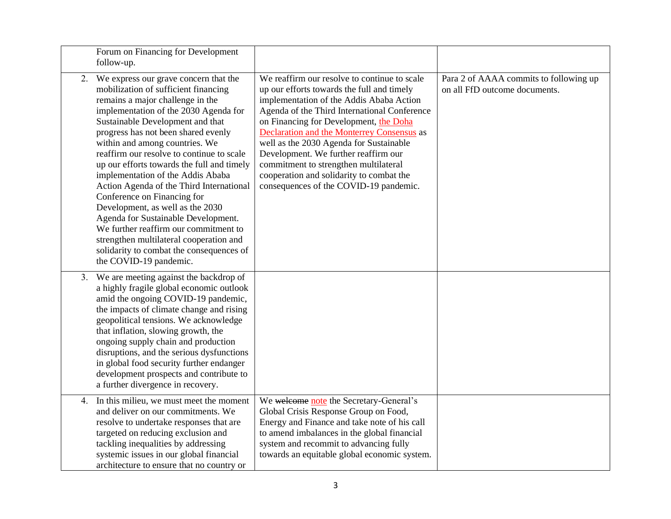|    | Forum on Financing for Development<br>follow-up.                                                                                                                                                                                                                                                                                                                                                                                                                                                                                                                                                                                                                                                                           |                                                                                                                                                                                                                                                                                                                                                                                                                                                                                                  |                                                                         |
|----|----------------------------------------------------------------------------------------------------------------------------------------------------------------------------------------------------------------------------------------------------------------------------------------------------------------------------------------------------------------------------------------------------------------------------------------------------------------------------------------------------------------------------------------------------------------------------------------------------------------------------------------------------------------------------------------------------------------------------|--------------------------------------------------------------------------------------------------------------------------------------------------------------------------------------------------------------------------------------------------------------------------------------------------------------------------------------------------------------------------------------------------------------------------------------------------------------------------------------------------|-------------------------------------------------------------------------|
|    | 2. We express our grave concern that the<br>mobilization of sufficient financing<br>remains a major challenge in the<br>implementation of the 2030 Agenda for<br>Sustainable Development and that<br>progress has not been shared evenly<br>within and among countries. We<br>reaffirm our resolve to continue to scale<br>up our efforts towards the full and timely<br>implementation of the Addis Ababa<br>Action Agenda of the Third International<br>Conference on Financing for<br>Development, as well as the 2030<br>Agenda for Sustainable Development.<br>We further reaffirm our commitment to<br>strengthen multilateral cooperation and<br>solidarity to combat the consequences of<br>the COVID-19 pandemic. | We reaffirm our resolve to continue to scale<br>up our efforts towards the full and timely<br>implementation of the Addis Ababa Action<br>Agenda of the Third International Conference<br>on Financing for Development, the Doha<br>Declaration and the Monterrey Consensus as<br>well as the 2030 Agenda for Sustainable<br>Development. We further reaffirm our<br>commitment to strengthen multilateral<br>cooperation and solidarity to combat the<br>consequences of the COVID-19 pandemic. | Para 2 of AAAA commits to following up<br>on all FfD outcome documents. |
| 3. | We are meeting against the backdrop of<br>a highly fragile global economic outlook<br>amid the ongoing COVID-19 pandemic,<br>the impacts of climate change and rising<br>geopolitical tensions. We acknowledge<br>that inflation, slowing growth, the<br>ongoing supply chain and production<br>disruptions, and the serious dysfunctions<br>in global food security further endanger<br>development prospects and contribute to<br>a further divergence in recovery.                                                                                                                                                                                                                                                      |                                                                                                                                                                                                                                                                                                                                                                                                                                                                                                  |                                                                         |
| 4. | In this milieu, we must meet the moment<br>and deliver on our commitments. We<br>resolve to undertake responses that are<br>targeted on reducing exclusion and<br>tackling inequalities by addressing<br>systemic issues in our global financial<br>architecture to ensure that no country or                                                                                                                                                                                                                                                                                                                                                                                                                              | We welcome note the Secretary-General's<br>Global Crisis Response Group on Food,<br>Energy and Finance and take note of his call<br>to amend imbalances in the global financial<br>system and recommit to advancing fully<br>towards an equitable global economic system.                                                                                                                                                                                                                        |                                                                         |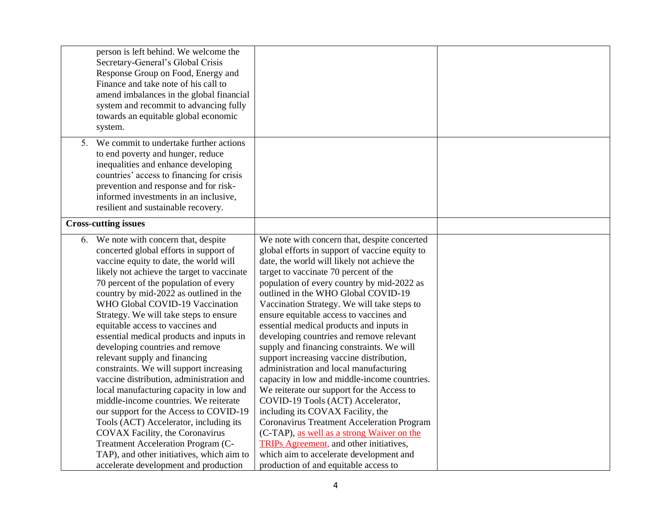|    | person is left behind. We welcome the<br>Secretary-General's Global Crisis<br>Response Group on Food, Energy and<br>Finance and take note of his call to<br>amend imbalances in the global financial<br>system and recommit to advancing fully<br>towards an equitable global economic<br>system.                                                                                                                                                                                                                                                                                                                                                                                                                                                                                                                                                                                                                         |                                                                                                                                                                                                                                                                                                                                                                                                                                                                                                                                                                                                                                                                                                                                                                                                                                                                                                                                                                                                                    |  |
|----|---------------------------------------------------------------------------------------------------------------------------------------------------------------------------------------------------------------------------------------------------------------------------------------------------------------------------------------------------------------------------------------------------------------------------------------------------------------------------------------------------------------------------------------------------------------------------------------------------------------------------------------------------------------------------------------------------------------------------------------------------------------------------------------------------------------------------------------------------------------------------------------------------------------------------|--------------------------------------------------------------------------------------------------------------------------------------------------------------------------------------------------------------------------------------------------------------------------------------------------------------------------------------------------------------------------------------------------------------------------------------------------------------------------------------------------------------------------------------------------------------------------------------------------------------------------------------------------------------------------------------------------------------------------------------------------------------------------------------------------------------------------------------------------------------------------------------------------------------------------------------------------------------------------------------------------------------------|--|
| 5. | We commit to undertake further actions<br>to end poverty and hunger, reduce<br>inequalities and enhance developing<br>countries' access to financing for crisis<br>prevention and response and for risk-<br>informed investments in an inclusive,<br>resilient and sustainable recovery.                                                                                                                                                                                                                                                                                                                                                                                                                                                                                                                                                                                                                                  |                                                                                                                                                                                                                                                                                                                                                                                                                                                                                                                                                                                                                                                                                                                                                                                                                                                                                                                                                                                                                    |  |
|    | <b>Cross-cutting issues</b>                                                                                                                                                                                                                                                                                                                                                                                                                                                                                                                                                                                                                                                                                                                                                                                                                                                                                               |                                                                                                                                                                                                                                                                                                                                                                                                                                                                                                                                                                                                                                                                                                                                                                                                                                                                                                                                                                                                                    |  |
|    | 6. We note with concern that, despite<br>concerted global efforts in support of<br>vaccine equity to date, the world will<br>likely not achieve the target to vaccinate<br>70 percent of the population of every<br>country by mid-2022 as outlined in the<br>WHO Global COVID-19 Vaccination<br>Strategy. We will take steps to ensure<br>equitable access to vaccines and<br>essential medical products and inputs in<br>developing countries and remove<br>relevant supply and financing<br>constraints. We will support increasing<br>vaccine distribution, administration and<br>local manufacturing capacity in low and<br>middle-income countries. We reiterate<br>our support for the Access to COVID-19<br>Tools (ACT) Accelerator, including its<br>COVAX Facility, the Coronavirus<br>Treatment Acceleration Program (C-<br>TAP), and other initiatives, which aim to<br>accelerate development and production | We note with concern that, despite concerted<br>global efforts in support of vaccine equity to<br>date, the world will likely not achieve the<br>target to vaccinate 70 percent of the<br>population of every country by mid-2022 as<br>outlined in the WHO Global COVID-19<br>Vaccination Strategy. We will take steps to<br>ensure equitable access to vaccines and<br>essential medical products and inputs in<br>developing countries and remove relevant<br>supply and financing constraints. We will<br>support increasing vaccine distribution,<br>administration and local manufacturing<br>capacity in low and middle-income countries.<br>We reiterate our support for the Access to<br>COVID-19 Tools (ACT) Accelerator,<br>including its COVAX Facility, the<br><b>Coronavirus Treatment Acceleration Program</b><br>(C-TAP), as well as a strong Waiver on the<br><b>TRIPs Agreement</b> , and other initiatives,<br>which aim to accelerate development and<br>production of and equitable access to |  |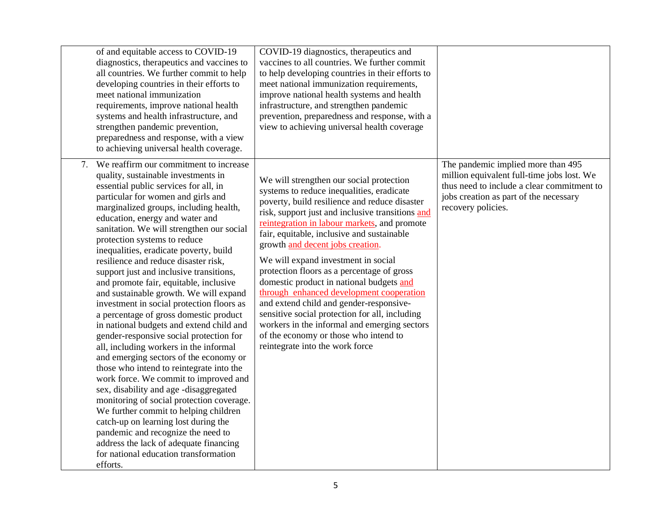|    | of and equitable access to COVID-19<br>diagnostics, therapeutics and vaccines to<br>all countries. We further commit to help<br>developing countries in their efforts to<br>meet national immunization<br>requirements, improve national health<br>systems and health infrastructure, and<br>strengthen pandemic prevention,<br>preparedness and response, with a view<br>to achieving universal health coverage.                                                                                                                                                                                                                                                                                                                                                                                                                                                                                                                                                                                                                                                                                                                                                                                           | COVID-19 diagnostics, therapeutics and<br>vaccines to all countries. We further commit<br>to help developing countries in their efforts to<br>meet national immunization requirements,<br>improve national health systems and health<br>infrastructure, and strengthen pandemic<br>prevention, preparedness and response, with a<br>view to achieving universal health coverage                                                                                                                                                                                                                                                                                                                                                    |                                                                                                                                                                                                |
|----|-------------------------------------------------------------------------------------------------------------------------------------------------------------------------------------------------------------------------------------------------------------------------------------------------------------------------------------------------------------------------------------------------------------------------------------------------------------------------------------------------------------------------------------------------------------------------------------------------------------------------------------------------------------------------------------------------------------------------------------------------------------------------------------------------------------------------------------------------------------------------------------------------------------------------------------------------------------------------------------------------------------------------------------------------------------------------------------------------------------------------------------------------------------------------------------------------------------|------------------------------------------------------------------------------------------------------------------------------------------------------------------------------------------------------------------------------------------------------------------------------------------------------------------------------------------------------------------------------------------------------------------------------------------------------------------------------------------------------------------------------------------------------------------------------------------------------------------------------------------------------------------------------------------------------------------------------------|------------------------------------------------------------------------------------------------------------------------------------------------------------------------------------------------|
| 7. | We reaffirm our commitment to increase<br>quality, sustainable investments in<br>essential public services for all, in<br>particular for women and girls and<br>marginalized groups, including health,<br>education, energy and water and<br>sanitation. We will strengthen our social<br>protection systems to reduce<br>inequalities, eradicate poverty, build<br>resilience and reduce disaster risk,<br>support just and inclusive transitions,<br>and promote fair, equitable, inclusive<br>and sustainable growth. We will expand<br>investment in social protection floors as<br>a percentage of gross domestic product<br>in national budgets and extend child and<br>gender-responsive social protection for<br>all, including workers in the informal<br>and emerging sectors of the economy or<br>those who intend to reintegrate into the<br>work force. We commit to improved and<br>sex, disability and age -disaggregated<br>monitoring of social protection coverage.<br>We further commit to helping children<br>catch-up on learning lost during the<br>pandemic and recognize the need to<br>address the lack of adequate financing<br>for national education transformation<br>efforts. | We will strengthen our social protection<br>systems to reduce inequalities, eradicate<br>poverty, build resilience and reduce disaster<br>risk, support just and inclusive transitions and<br>reintegration in labour markets, and promote<br>fair, equitable, inclusive and sustainable<br>growth and decent jobs creation.<br>We will expand investment in social<br>protection floors as a percentage of gross<br>domestic product in national budgets and<br>through enhanced development cooperation<br>and extend child and gender-responsive-<br>sensitive social protection for all, including<br>workers in the informal and emerging sectors<br>of the economy or those who intend to<br>reintegrate into the work force | The pandemic implied more than 495<br>million equivalent full-time jobs lost. We<br>thus need to include a clear commitment to<br>jobs creation as part of the necessary<br>recovery policies. |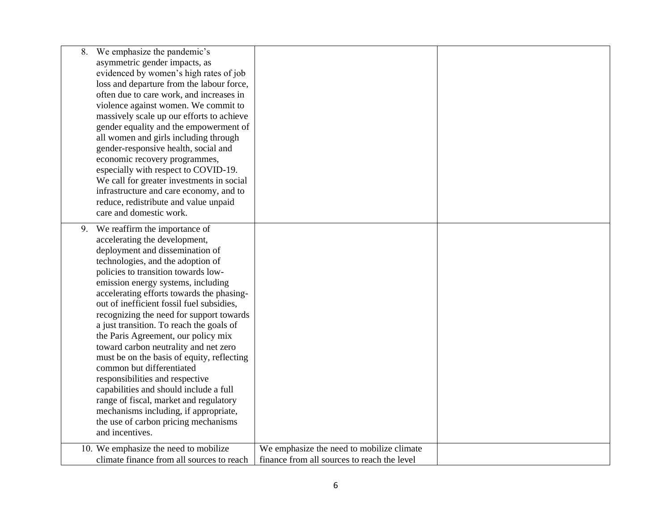| 8.<br>care and domestic work.                      | We emphasize the pandemic's<br>asymmetric gender impacts, as<br>evidenced by women's high rates of job<br>loss and departure from the labour force,<br>often due to care work, and increases in<br>violence against women. We commit to<br>massively scale up our efforts to achieve<br>gender equality and the empowerment of<br>all women and girls including through<br>gender-responsive health, social and<br>economic recovery programmes,<br>especially with respect to COVID-19.<br>We call for greater investments in social<br>infrastructure and care economy, and to<br>reduce, redistribute and value unpaid                                                                                                                   |                                                                                          |  |
|----------------------------------------------------|---------------------------------------------------------------------------------------------------------------------------------------------------------------------------------------------------------------------------------------------------------------------------------------------------------------------------------------------------------------------------------------------------------------------------------------------------------------------------------------------------------------------------------------------------------------------------------------------------------------------------------------------------------------------------------------------------------------------------------------------|------------------------------------------------------------------------------------------|--|
| 9.<br>common but differentiated<br>and incentives. | We reaffirm the importance of<br>accelerating the development,<br>deployment and dissemination of<br>technologies, and the adoption of<br>policies to transition towards low-<br>emission energy systems, including<br>accelerating efforts towards the phasing-<br>out of inefficient fossil fuel subsidies,<br>recognizing the need for support towards<br>a just transition. To reach the goals of<br>the Paris Agreement, our policy mix<br>toward carbon neutrality and net zero<br>must be on the basis of equity, reflecting<br>responsibilities and respective<br>capabilities and should include a full<br>range of fiscal, market and regulatory<br>mechanisms including, if appropriate,<br>the use of carbon pricing mechanisms |                                                                                          |  |
|                                                    | 10. We emphasize the need to mobilize<br>climate finance from all sources to reach                                                                                                                                                                                                                                                                                                                                                                                                                                                                                                                                                                                                                                                          | We emphasize the need to mobilize climate<br>finance from all sources to reach the level |  |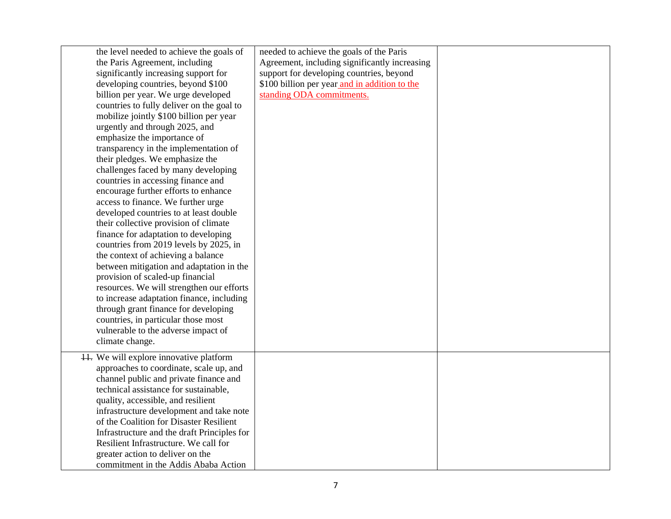| the level needed to achieve the goals of    | needed to achieve the goals of the Paris      |  |
|---------------------------------------------|-----------------------------------------------|--|
| the Paris Agreement, including              | Agreement, including significantly increasing |  |
| significantly increasing support for        | support for developing countries, beyond      |  |
| developing countries, beyond \$100          | \$100 billion per year and in addition to the |  |
| billion per year. We urge developed         | standing ODA commitments.                     |  |
| countries to fully deliver on the goal to   |                                               |  |
| mobilize jointly \$100 billion per year     |                                               |  |
| urgently and through 2025, and              |                                               |  |
| emphasize the importance of                 |                                               |  |
| transparency in the implementation of       |                                               |  |
| their pledges. We emphasize the             |                                               |  |
| challenges faced by many developing         |                                               |  |
| countries in accessing finance and          |                                               |  |
| encourage further efforts to enhance        |                                               |  |
| access to finance. We further urge          |                                               |  |
| developed countries to at least double      |                                               |  |
| their collective provision of climate       |                                               |  |
| finance for adaptation to developing        |                                               |  |
| countries from 2019 levels by 2025, in      |                                               |  |
| the context of achieving a balance          |                                               |  |
| between mitigation and adaptation in the    |                                               |  |
| provision of scaled-up financial            |                                               |  |
| resources. We will strengthen our efforts   |                                               |  |
| to increase adaptation finance, including   |                                               |  |
| through grant finance for developing        |                                               |  |
| countries, in particular those most         |                                               |  |
| vulnerable to the adverse impact of         |                                               |  |
| climate change.                             |                                               |  |
| 11. We will explore innovative platform     |                                               |  |
| approaches to coordinate, scale up, and     |                                               |  |
| channel public and private finance and      |                                               |  |
| technical assistance for sustainable,       |                                               |  |
| quality, accessible, and resilient          |                                               |  |
| infrastructure development and take note    |                                               |  |
| of the Coalition for Disaster Resilient     |                                               |  |
| Infrastructure and the draft Principles for |                                               |  |
| Resilient Infrastructure. We call for       |                                               |  |
| greater action to deliver on the            |                                               |  |
| commitment in the Addis Ababa Action        |                                               |  |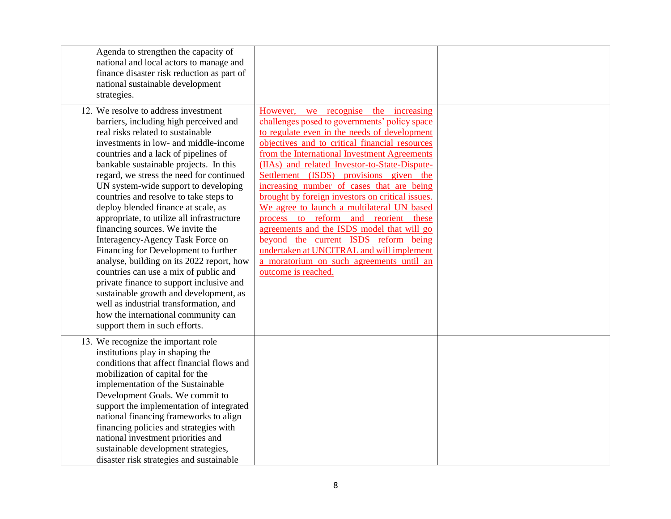| Agenda to strengthen the capacity of<br>national and local actors to manage and<br>finance disaster risk reduction as part of<br>national sustainable development<br>strategies.                                                                                                                                                                                                                                                                                                                                                                                                                                                                                                                                                                                                                                                                                                |                                                                                                                                                                                                                                                                                                                                                                                                                                                                                                                                                                                                                                                                                                                                    |  |
|---------------------------------------------------------------------------------------------------------------------------------------------------------------------------------------------------------------------------------------------------------------------------------------------------------------------------------------------------------------------------------------------------------------------------------------------------------------------------------------------------------------------------------------------------------------------------------------------------------------------------------------------------------------------------------------------------------------------------------------------------------------------------------------------------------------------------------------------------------------------------------|------------------------------------------------------------------------------------------------------------------------------------------------------------------------------------------------------------------------------------------------------------------------------------------------------------------------------------------------------------------------------------------------------------------------------------------------------------------------------------------------------------------------------------------------------------------------------------------------------------------------------------------------------------------------------------------------------------------------------------|--|
| 12. We resolve to address investment<br>barriers, including high perceived and<br>real risks related to sustainable<br>investments in low- and middle-income<br>countries and a lack of pipelines of<br>bankable sustainable projects. In this<br>regard, we stress the need for continued<br>UN system-wide support to developing<br>countries and resolve to take steps to<br>deploy blended finance at scale, as<br>appropriate, to utilize all infrastructure<br>financing sources. We invite the<br>Interagency-Agency Task Force on<br>Financing for Development to further<br>analyse, building on its 2022 report, how<br>countries can use a mix of public and<br>private finance to support inclusive and<br>sustainable growth and development, as<br>well as industrial transformation, and<br>how the international community can<br>support them in such efforts. | we recognise the increasing<br>However,<br>challenges posed to governments' policy space<br>to regulate even in the needs of development<br>objectives and to critical financial resources<br>from the International Investment Agreements<br>(IIAs) and related Investor-to-State-Dispute-<br>Settlement (ISDS) provisions given the<br>increasing number of cases that are being<br>brought by foreign investors on critical issues.<br>We agree to launch a multilateral UN based<br>process to reform and reorient these<br>agreements and the ISDS model that will go<br>beyond the current ISDS reform being<br>undertaken at UNCITRAL and will implement<br>a moratorium on such agreements until an<br>outcome is reached. |  |
| 13. We recognize the important role<br>institutions play in shaping the<br>conditions that affect financial flows and<br>mobilization of capital for the<br>implementation of the Sustainable<br>Development Goals. We commit to<br>support the implementation of integrated<br>national financing frameworks to align<br>financing policies and strategies with<br>national investment priorities and<br>sustainable development strategies,<br>disaster risk strategies and sustainable                                                                                                                                                                                                                                                                                                                                                                                       |                                                                                                                                                                                                                                                                                                                                                                                                                                                                                                                                                                                                                                                                                                                                    |  |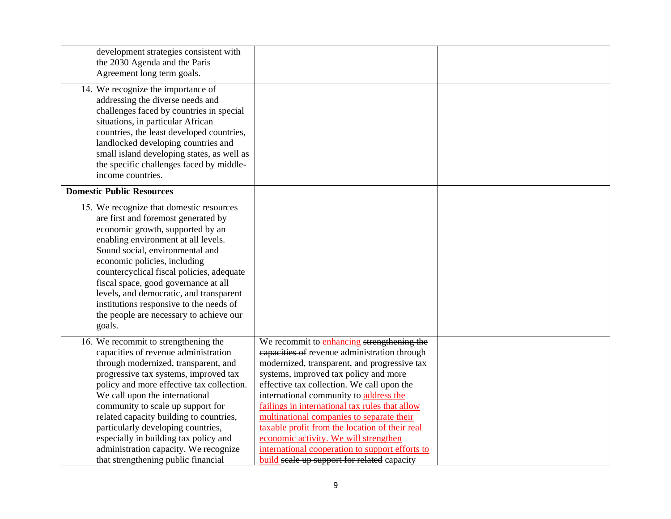| development strategies consistent with<br>the 2030 Agenda and the Paris<br>Agreement long term goals.                                                                                                                                                                                                                                                                                                                                                                                       |                                                                                                                                                                                                                                                                                                                                                                                                                                                                                                                                                                         |  |
|---------------------------------------------------------------------------------------------------------------------------------------------------------------------------------------------------------------------------------------------------------------------------------------------------------------------------------------------------------------------------------------------------------------------------------------------------------------------------------------------|-------------------------------------------------------------------------------------------------------------------------------------------------------------------------------------------------------------------------------------------------------------------------------------------------------------------------------------------------------------------------------------------------------------------------------------------------------------------------------------------------------------------------------------------------------------------------|--|
| 14. We recognize the importance of<br>addressing the diverse needs and<br>challenges faced by countries in special<br>situations, in particular African<br>countries, the least developed countries,<br>landlocked developing countries and<br>small island developing states, as well as<br>the specific challenges faced by middle-<br>income countries.                                                                                                                                  |                                                                                                                                                                                                                                                                                                                                                                                                                                                                                                                                                                         |  |
| <b>Domestic Public Resources</b>                                                                                                                                                                                                                                                                                                                                                                                                                                                            |                                                                                                                                                                                                                                                                                                                                                                                                                                                                                                                                                                         |  |
| 15. We recognize that domestic resources<br>are first and foremost generated by<br>economic growth, supported by an<br>enabling environment at all levels.<br>Sound social, environmental and<br>economic policies, including<br>countercyclical fiscal policies, adequate<br>fiscal space, good governance at all<br>levels, and democratic, and transparent<br>institutions responsive to the needs of<br>the people are necessary to achieve our<br>goals.                               |                                                                                                                                                                                                                                                                                                                                                                                                                                                                                                                                                                         |  |
| 16. We recommit to strengthening the<br>capacities of revenue administration<br>through modernized, transparent, and<br>progressive tax systems, improved tax<br>policy and more effective tax collection.<br>We call upon the international<br>community to scale up support for<br>related capacity building to countries,<br>particularly developing countries,<br>especially in building tax policy and<br>administration capacity. We recognize<br>that strengthening public financial | We recommit to enhancing strengthening the<br>capacities of revenue administration through<br>modernized, transparent, and progressive tax<br>systems, improved tax policy and more<br>effective tax collection. We call upon the<br>international community to address the<br>failings in international tax rules that allow<br>multinational companies to separate their<br>taxable profit from the location of their real<br>economic activity. We will strengthen<br>international cooperation to support efforts to<br>build seale up support for related capacity |  |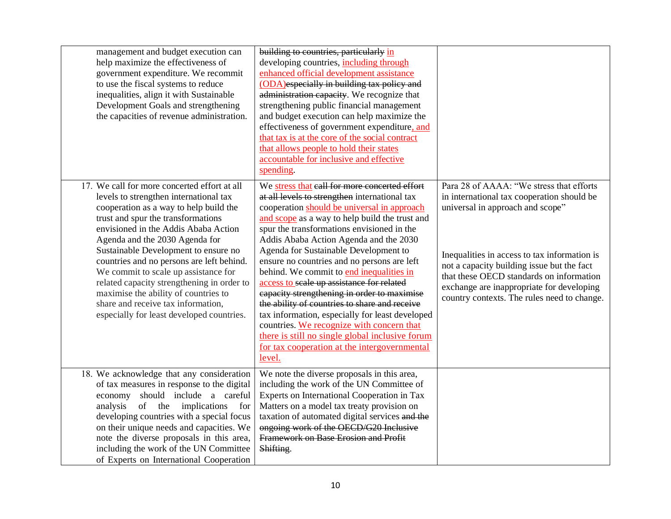| management and budget execution can<br>help maximize the effectiveness of<br>government expenditure. We recommit<br>to use the fiscal systems to reduce<br>inequalities, align it with Sustainable<br>Development Goals and strengthening<br>the capacities of revenue administration.                                                                                                                                                                                                                                                                 | building to countries, particularly in<br>developing countries, including through<br>enhanced official development assistance<br>(ODA)especially in building tax policy and<br>administration capacity. We recognize that<br>strengthening public financial management<br>and budget execution can help maximize the<br>effectiveness of government expenditure, and<br>that tax is at the core of the social contract<br>that allows people to hold their states<br>accountable for inclusive and effective<br>spending.                                                                                                                                                                                                                                                             |                                                                                                                                                                                                                                                                                                                                                                  |
|--------------------------------------------------------------------------------------------------------------------------------------------------------------------------------------------------------------------------------------------------------------------------------------------------------------------------------------------------------------------------------------------------------------------------------------------------------------------------------------------------------------------------------------------------------|---------------------------------------------------------------------------------------------------------------------------------------------------------------------------------------------------------------------------------------------------------------------------------------------------------------------------------------------------------------------------------------------------------------------------------------------------------------------------------------------------------------------------------------------------------------------------------------------------------------------------------------------------------------------------------------------------------------------------------------------------------------------------------------|------------------------------------------------------------------------------------------------------------------------------------------------------------------------------------------------------------------------------------------------------------------------------------------------------------------------------------------------------------------|
| 17. We call for more concerted effort at all<br>levels to strengthen international tax<br>cooperation as a way to help build the<br>trust and spur the transformations<br>envisioned in the Addis Ababa Action<br>Agenda and the 2030 Agenda for<br>Sustainable Development to ensure no<br>countries and no persons are left behind.<br>We commit to scale up assistance for<br>related capacity strengthening in order to<br>maximise the ability of countries to<br>share and receive tax information,<br>especially for least developed countries. | We stress that eall for more concerted effort<br>at all levels to strengthen international tax<br>cooperation should be universal in approach<br>and scope as a way to help build the trust and<br>spur the transformations envisioned in the<br>Addis Ababa Action Agenda and the 2030<br>Agenda for Sustainable Development to<br>ensure no countries and no persons are left<br>behind. We commit to end inequalities in<br>access to scale up assistance for related<br>capacity strengthening in order to maximise<br>the ability of countries to share and receive<br>tax information, especially for least developed<br>countries. We recognize with concern that<br>there is still no single global inclusive forum<br>for tax cooperation at the intergovernmental<br>level. | Para 28 of AAAA: "We stress that efforts<br>in international tax cooperation should be<br>universal in approach and scope"<br>Inequalities in access to tax information is<br>not a capacity building issue but the fact<br>that these OECD standards on information<br>exchange are inappropriate for developing<br>country contexts. The rules need to change. |
| 18. We acknowledge that any consideration<br>of tax measures in response to the digital<br>economy should include a careful<br>of the<br>implications<br>analysis<br>for<br>developing countries with a special focus<br>on their unique needs and capacities. We<br>note the diverse proposals in this area,<br>including the work of the UN Committee<br>of Experts on International Cooperation                                                                                                                                                     | We note the diverse proposals in this area,<br>including the work of the UN Committee of<br>Experts on International Cooperation in Tax<br>Matters on a model tax treaty provision on<br>taxation of automated digital services and the<br>ongoing work of the OECD/G20 Inclusive<br>Framework on Base Erosion and Profit<br>Shifting.                                                                                                                                                                                                                                                                                                                                                                                                                                                |                                                                                                                                                                                                                                                                                                                                                                  |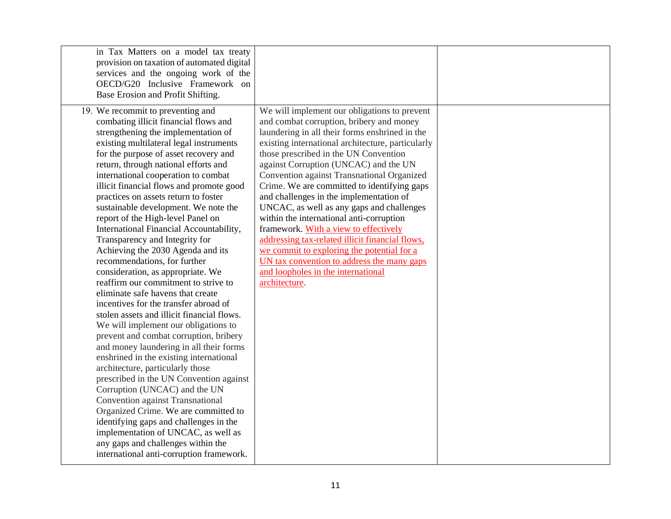| in Tax Matters on a model tax treaty<br>provision on taxation of automated digital<br>services and the ongoing work of the<br>OECD/G20 Inclusive Framework on<br>Base Erosion and Profit Shifting.                                                                                                                                                                                                                                                                                                                                                                                                                                                                                                                                                                                                                                                                                                                                                                                                                                                                                                                                                                                                                                                                                                                                                      |                                                                                                                                                                                                                                                                                                                                                                                                                                                                                                                                                                                                                                                                                                                                                                   |  |
|---------------------------------------------------------------------------------------------------------------------------------------------------------------------------------------------------------------------------------------------------------------------------------------------------------------------------------------------------------------------------------------------------------------------------------------------------------------------------------------------------------------------------------------------------------------------------------------------------------------------------------------------------------------------------------------------------------------------------------------------------------------------------------------------------------------------------------------------------------------------------------------------------------------------------------------------------------------------------------------------------------------------------------------------------------------------------------------------------------------------------------------------------------------------------------------------------------------------------------------------------------------------------------------------------------------------------------------------------------|-------------------------------------------------------------------------------------------------------------------------------------------------------------------------------------------------------------------------------------------------------------------------------------------------------------------------------------------------------------------------------------------------------------------------------------------------------------------------------------------------------------------------------------------------------------------------------------------------------------------------------------------------------------------------------------------------------------------------------------------------------------------|--|
| 19. We recommit to preventing and<br>combating illicit financial flows and<br>strengthening the implementation of<br>existing multilateral legal instruments<br>for the purpose of asset recovery and<br>return, through national efforts and<br>international cooperation to combat<br>illicit financial flows and promote good<br>practices on assets return to foster<br>sustainable development. We note the<br>report of the High-level Panel on<br>International Financial Accountability,<br>Transparency and Integrity for<br>Achieving the 2030 Agenda and its<br>recommendations, for further<br>consideration, as appropriate. We<br>reaffirm our commitment to strive to<br>eliminate safe havens that create<br>incentives for the transfer abroad of<br>stolen assets and illicit financial flows.<br>We will implement our obligations to<br>prevent and combat corruption, bribery<br>and money laundering in all their forms<br>enshrined in the existing international<br>architecture, particularly those<br>prescribed in the UN Convention against<br>Corruption (UNCAC) and the UN<br>Convention against Transnational<br>Organized Crime. We are committed to<br>identifying gaps and challenges in the<br>implementation of UNCAC, as well as<br>any gaps and challenges within the<br>international anti-corruption framework. | We will implement our obligations to prevent<br>and combat corruption, bribery and money<br>laundering in all their forms enshrined in the<br>existing international architecture, particularly<br>those prescribed in the UN Convention<br>against Corruption (UNCAC) and the UN<br>Convention against Transnational Organized<br>Crime. We are committed to identifying gaps<br>and challenges in the implementation of<br>UNCAC, as well as any gaps and challenges<br>within the international anti-corruption<br>framework. With a view to effectively<br>addressing tax-related illicit financial flows,<br>we commit to exploring the potential for a<br>UN tax convention to address the many gaps<br>and loopholes in the international<br>architecture. |  |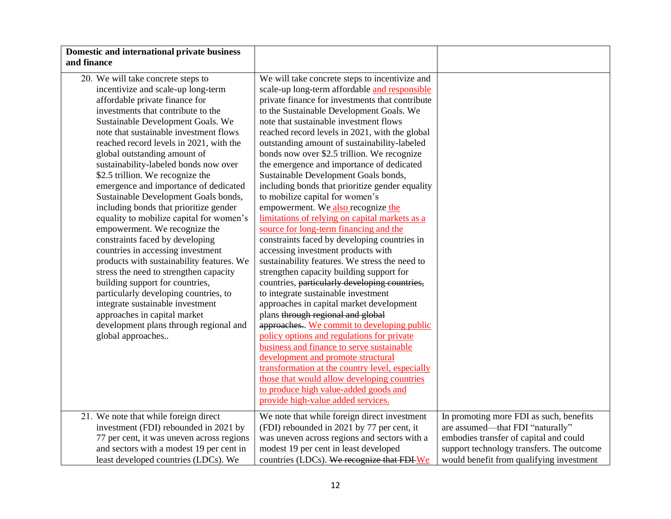| Domestic and international private business                                                                                                                                                                                                                                                                                                                                                                                                                                                                                                                                                                                                                                                                                                                                                                                                                                                                                                                                   |                                                                                                                                                                                                                                                                                                                                                                                                                                                                                                                                                                                                                                                                                                                                                                                                                                                                                                                                                                                                                                                                                                                                                                                                                                                                                                                                                                                                                                    |                                                                                                                       |
|-------------------------------------------------------------------------------------------------------------------------------------------------------------------------------------------------------------------------------------------------------------------------------------------------------------------------------------------------------------------------------------------------------------------------------------------------------------------------------------------------------------------------------------------------------------------------------------------------------------------------------------------------------------------------------------------------------------------------------------------------------------------------------------------------------------------------------------------------------------------------------------------------------------------------------------------------------------------------------|------------------------------------------------------------------------------------------------------------------------------------------------------------------------------------------------------------------------------------------------------------------------------------------------------------------------------------------------------------------------------------------------------------------------------------------------------------------------------------------------------------------------------------------------------------------------------------------------------------------------------------------------------------------------------------------------------------------------------------------------------------------------------------------------------------------------------------------------------------------------------------------------------------------------------------------------------------------------------------------------------------------------------------------------------------------------------------------------------------------------------------------------------------------------------------------------------------------------------------------------------------------------------------------------------------------------------------------------------------------------------------------------------------------------------------|-----------------------------------------------------------------------------------------------------------------------|
| and finance                                                                                                                                                                                                                                                                                                                                                                                                                                                                                                                                                                                                                                                                                                                                                                                                                                                                                                                                                                   |                                                                                                                                                                                                                                                                                                                                                                                                                                                                                                                                                                                                                                                                                                                                                                                                                                                                                                                                                                                                                                                                                                                                                                                                                                                                                                                                                                                                                                    |                                                                                                                       |
| 20. We will take concrete steps to<br>incentivize and scale-up long-term<br>affordable private finance for<br>investments that contribute to the<br>Sustainable Development Goals. We<br>note that sustainable investment flows<br>reached record levels in 2021, with the<br>global outstanding amount of<br>sustainability-labeled bonds now over<br>\$2.5 trillion. We recognize the<br>emergence and importance of dedicated<br>Sustainable Development Goals bonds,<br>including bonds that prioritize gender<br>equality to mobilize capital for women's<br>empowerment. We recognize the<br>constraints faced by developing<br>countries in accessing investment<br>products with sustainability features. We<br>stress the need to strengthen capacity<br>building support for countries,<br>particularly developing countries, to<br>integrate sustainable investment<br>approaches in capital market<br>development plans through regional and<br>global approaches | We will take concrete steps to incentivize and<br>scale-up long-term affordable and responsible<br>private finance for investments that contribute<br>to the Sustainable Development Goals. We<br>note that sustainable investment flows<br>reached record levels in 2021, with the global<br>outstanding amount of sustainability-labeled<br>bonds now over \$2.5 trillion. We recognize<br>the emergence and importance of dedicated<br>Sustainable Development Goals bonds,<br>including bonds that prioritize gender equality<br>to mobilize capital for women's<br>empowerment. We also recognize the<br>limitations of relying on capital markets as a<br>source for long-term financing and the<br>constraints faced by developing countries in<br>accessing investment products with<br>sustainability features. We stress the need to<br>strengthen capacity building support for<br>countries, particularly developing countries,<br>to integrate sustainable investment<br>approaches in capital market development<br>plans through regional and global<br>approaches We commit to developing public<br>policy options and regulations for private<br>business and finance to serve sustainable<br>development and promote structural<br>transformation at the country level, especially<br>those that would allow developing countries<br>to produce high value-added goods and<br>provide high-value added services. |                                                                                                                       |
| 21. We note that while foreign direct<br>investment (FDI) rebounded in 2021 by<br>77 per cent, it was uneven across regions                                                                                                                                                                                                                                                                                                                                                                                                                                                                                                                                                                                                                                                                                                                                                                                                                                                   | We note that while foreign direct investment<br>(FDI) rebounded in 2021 by 77 per cent, it<br>was uneven across regions and sectors with a                                                                                                                                                                                                                                                                                                                                                                                                                                                                                                                                                                                                                                                                                                                                                                                                                                                                                                                                                                                                                                                                                                                                                                                                                                                                                         | In promoting more FDI as such, benefits<br>are assumed-that FDI "naturally"<br>embodies transfer of capital and could |
| and sectors with a modest 19 per cent in<br>least developed countries (LDCs). We                                                                                                                                                                                                                                                                                                                                                                                                                                                                                                                                                                                                                                                                                                                                                                                                                                                                                              | modest 19 per cent in least developed<br>countries (LDCs). We recognize that FDI We                                                                                                                                                                                                                                                                                                                                                                                                                                                                                                                                                                                                                                                                                                                                                                                                                                                                                                                                                                                                                                                                                                                                                                                                                                                                                                                                                | support technology transfers. The outcome<br>would benefit from qualifying investment                                 |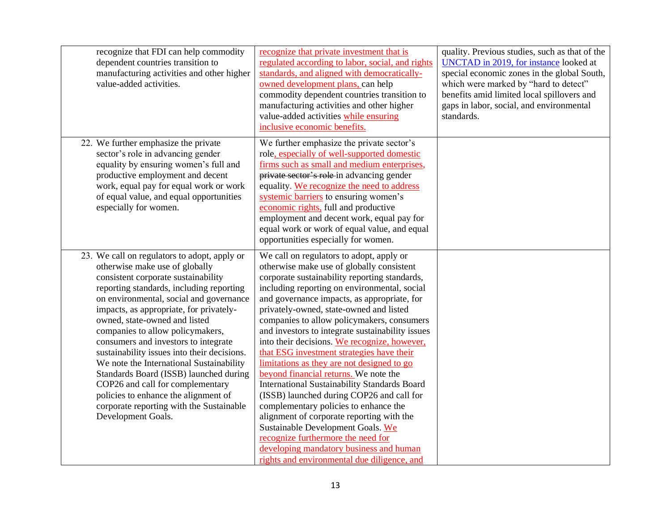| recognize that FDI can help commodity<br>dependent countries transition to<br>manufacturing activities and other higher<br>value-added activities.                                                                                                                                                                                                                                                                                                                                                                                                                                                                                                      | recognize that private investment that is<br>regulated according to labor, social, and rights<br>standards, and aligned with democratically-<br>owned development plans, can help<br>commodity dependent countries transition to<br>manufacturing activities and other higher<br>value-added activities while ensuring<br>inclusive economic benefits.                                                                                                                                                                                                                                                                                                                                                                                                                                                                                                                                                                         | quality. Previous studies, such as that of the<br><b>UNCTAD</b> in 2019, for instance looked at<br>special economic zones in the global South,<br>which were marked by "hard to detect"<br>benefits amid limited local spillovers and<br>gaps in labor, social, and environmental<br>standards. |
|---------------------------------------------------------------------------------------------------------------------------------------------------------------------------------------------------------------------------------------------------------------------------------------------------------------------------------------------------------------------------------------------------------------------------------------------------------------------------------------------------------------------------------------------------------------------------------------------------------------------------------------------------------|--------------------------------------------------------------------------------------------------------------------------------------------------------------------------------------------------------------------------------------------------------------------------------------------------------------------------------------------------------------------------------------------------------------------------------------------------------------------------------------------------------------------------------------------------------------------------------------------------------------------------------------------------------------------------------------------------------------------------------------------------------------------------------------------------------------------------------------------------------------------------------------------------------------------------------|-------------------------------------------------------------------------------------------------------------------------------------------------------------------------------------------------------------------------------------------------------------------------------------------------|
| 22. We further emphasize the private<br>sector's role in advancing gender<br>equality by ensuring women's full and<br>productive employment and decent<br>work, equal pay for equal work or work<br>of equal value, and equal opportunities<br>especially for women.                                                                                                                                                                                                                                                                                                                                                                                    | We further emphasize the private sector's<br>role, especially of well-supported domestic<br>firms such as small and medium enterprises,<br>private sector's role in advancing gender<br>equality. We recognize the need to address<br>systemic barriers to ensuring women's<br>economic rights, full and productive<br>employment and decent work, equal pay for<br>equal work or work of equal value, and equal<br>opportunities especially for women.                                                                                                                                                                                                                                                                                                                                                                                                                                                                        |                                                                                                                                                                                                                                                                                                 |
| 23. We call on regulators to adopt, apply or<br>otherwise make use of globally<br>consistent corporate sustainability<br>reporting standards, including reporting<br>on environmental, social and governance<br>impacts, as appropriate, for privately-<br>owned, state-owned and listed<br>companies to allow policymakers,<br>consumers and investors to integrate<br>sustainability issues into their decisions.<br>We note the International Sustainability<br>Standards Board (ISSB) launched during<br>COP26 and call for complementary<br>policies to enhance the alignment of<br>corporate reporting with the Sustainable<br>Development Goals. | We call on regulators to adopt, apply or<br>otherwise make use of globally consistent<br>corporate sustainability reporting standards,<br>including reporting on environmental, social<br>and governance impacts, as appropriate, for<br>privately-owned, state-owned and listed<br>companies to allow policymakers, consumers<br>and investors to integrate sustainability issues<br>into their decisions. We recognize, however,<br>that ESG investment strategies have their<br>limitations as they are not designed to go<br>beyond financial returns. We note the<br>International Sustainability Standards Board<br>(ISSB) launched during COP26 and call for<br>complementary policies to enhance the<br>alignment of corporate reporting with the<br>Sustainable Development Goals. We<br>recognize furthermore the need for<br>developing mandatory business and human<br>rights and environmental due diligence, and |                                                                                                                                                                                                                                                                                                 |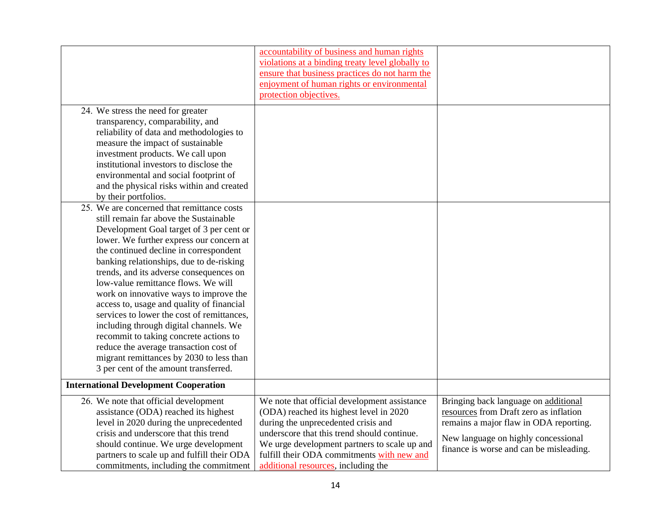|                                                                                                                                                                                                                                                                                                                                                                                                                                                                                                                                                                                                                                                                                                              | accountability of business and human rights<br>violations at a binding treaty level globally to<br>ensure that business practices do not harm the<br>enjoyment of human rights or environmental<br>protection objectives.                                                                                          |                                                                                                                                                                                                            |
|--------------------------------------------------------------------------------------------------------------------------------------------------------------------------------------------------------------------------------------------------------------------------------------------------------------------------------------------------------------------------------------------------------------------------------------------------------------------------------------------------------------------------------------------------------------------------------------------------------------------------------------------------------------------------------------------------------------|--------------------------------------------------------------------------------------------------------------------------------------------------------------------------------------------------------------------------------------------------------------------------------------------------------------------|------------------------------------------------------------------------------------------------------------------------------------------------------------------------------------------------------------|
| 24. We stress the need for greater<br>transparency, comparability, and<br>reliability of data and methodologies to<br>measure the impact of sustainable<br>investment products. We call upon<br>institutional investors to disclose the<br>environmental and social footprint of<br>and the physical risks within and created<br>by their portfolios.                                                                                                                                                                                                                                                                                                                                                        |                                                                                                                                                                                                                                                                                                                    |                                                                                                                                                                                                            |
| 25. We are concerned that remittance costs<br>still remain far above the Sustainable<br>Development Goal target of 3 per cent or<br>lower. We further express our concern at<br>the continued decline in correspondent<br>banking relationships, due to de-risking<br>trends, and its adverse consequences on<br>low-value remittance flows. We will<br>work on innovative ways to improve the<br>access to, usage and quality of financial<br>services to lower the cost of remittances,<br>including through digital channels. We<br>recommit to taking concrete actions to<br>reduce the average transaction cost of<br>migrant remittances by 2030 to less than<br>3 per cent of the amount transferred. |                                                                                                                                                                                                                                                                                                                    |                                                                                                                                                                                                            |
| <b>International Development Cooperation</b>                                                                                                                                                                                                                                                                                                                                                                                                                                                                                                                                                                                                                                                                 |                                                                                                                                                                                                                                                                                                                    |                                                                                                                                                                                                            |
| 26. We note that official development<br>assistance (ODA) reached its highest<br>level in 2020 during the unprecedented<br>crisis and underscore that this trend<br>should continue. We urge development<br>partners to scale up and fulfill their ODA<br>commitments, including the commitment                                                                                                                                                                                                                                                                                                                                                                                                              | We note that official development assistance<br>(ODA) reached its highest level in 2020<br>during the unprecedented crisis and<br>underscore that this trend should continue.<br>We urge development partners to scale up and<br>fulfill their ODA commitments with new and<br>additional resources, including the | Bringing back language on additional<br>resources from Draft zero as inflation<br>remains a major flaw in ODA reporting.<br>New language on highly concessional<br>finance is worse and can be misleading. |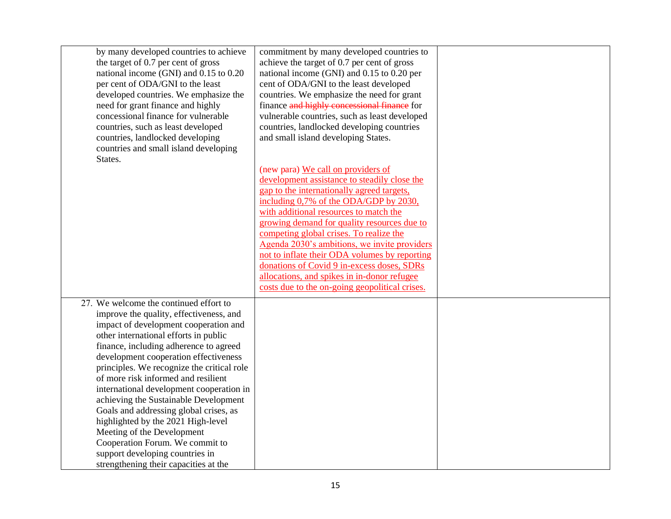| by many developed countries to achieve<br>the target of 0.7 per cent of gross<br>national income (GNI) and 0.15 to 0.20<br>per cent of ODA/GNI to the least<br>developed countries. We emphasize the<br>need for grant finance and highly<br>concessional finance for vulnerable<br>countries, such as least developed<br>countries, landlocked developing<br>countries and small island developing<br>States.                                                                                                                                                                                                                                                | commitment by many developed countries to<br>achieve the target of 0.7 per cent of gross<br>national income (GNI) and 0.15 to 0.20 per<br>cent of ODA/GNI to the least developed<br>countries. We emphasize the need for grant<br>finance and highly concessional finance for<br>vulnerable countries, such as least developed<br>countries, landlocked developing countries<br>and small island developing States.<br>(new para) We call on providers of<br>development assistance to steadily close the |  |
|---------------------------------------------------------------------------------------------------------------------------------------------------------------------------------------------------------------------------------------------------------------------------------------------------------------------------------------------------------------------------------------------------------------------------------------------------------------------------------------------------------------------------------------------------------------------------------------------------------------------------------------------------------------|-----------------------------------------------------------------------------------------------------------------------------------------------------------------------------------------------------------------------------------------------------------------------------------------------------------------------------------------------------------------------------------------------------------------------------------------------------------------------------------------------------------|--|
|                                                                                                                                                                                                                                                                                                                                                                                                                                                                                                                                                                                                                                                               | gap to the internationally agreed targets,<br>including 0,7% of the ODA/GDP by 2030,<br>with additional resources to match the<br>growing demand for quality resources due to<br>competing global crises. To realize the<br>Agenda 2030's ambitions, we invite providers<br>not to inflate their ODA volumes by reporting<br>donations of Covid 9 in-excess doses, SDRs<br>allocations, and spikes in in-donor refugee<br>costs due to the on-going geopolitical crises.                                  |  |
| 27. We welcome the continued effort to<br>improve the quality, effectiveness, and<br>impact of development cooperation and<br>other international efforts in public<br>finance, including adherence to agreed<br>development cooperation effectiveness<br>principles. We recognize the critical role<br>of more risk informed and resilient<br>international development cooperation in<br>achieving the Sustainable Development<br>Goals and addressing global crises, as<br>highlighted by the 2021 High-level<br>Meeting of the Development<br>Cooperation Forum. We commit to<br>support developing countries in<br>strengthening their capacities at the |                                                                                                                                                                                                                                                                                                                                                                                                                                                                                                           |  |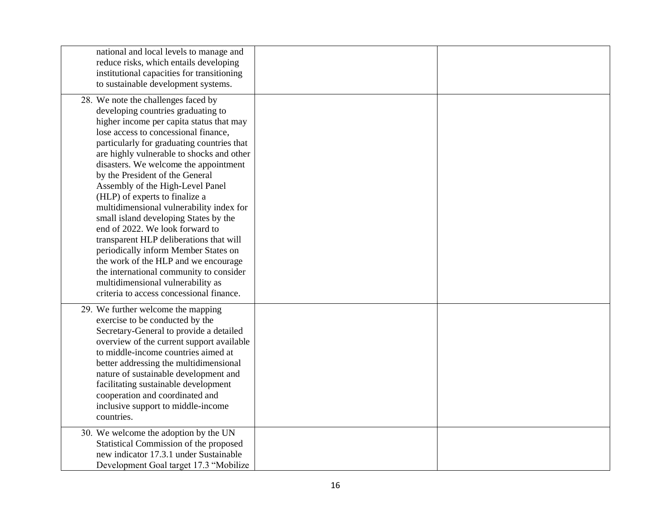| national and local levels to manage and<br>reduce risks, which entails developing<br>institutional capacities for transitioning<br>to sustainable development systems.                                                                                                                                                                                                                                                                                                                                                                                                                                                                                                                                                                                                                    |  |
|-------------------------------------------------------------------------------------------------------------------------------------------------------------------------------------------------------------------------------------------------------------------------------------------------------------------------------------------------------------------------------------------------------------------------------------------------------------------------------------------------------------------------------------------------------------------------------------------------------------------------------------------------------------------------------------------------------------------------------------------------------------------------------------------|--|
| 28. We note the challenges faced by<br>developing countries graduating to<br>higher income per capita status that may<br>lose access to concessional finance,<br>particularly for graduating countries that<br>are highly vulnerable to shocks and other<br>disasters. We welcome the appointment<br>by the President of the General<br>Assembly of the High-Level Panel<br>(HLP) of experts to finalize a<br>multidimensional vulnerability index for<br>small island developing States by the<br>end of 2022. We look forward to<br>transparent HLP deliberations that will<br>periodically inform Member States on<br>the work of the HLP and we encourage<br>the international community to consider<br>multidimensional vulnerability as<br>criteria to access concessional finance. |  |
| 29. We further welcome the mapping<br>exercise to be conducted by the<br>Secretary-General to provide a detailed<br>overview of the current support available<br>to middle-income countries aimed at<br>better addressing the multidimensional<br>nature of sustainable development and<br>facilitating sustainable development<br>cooperation and coordinated and<br>inclusive support to middle-income<br>countries.                                                                                                                                                                                                                                                                                                                                                                    |  |
| 30. We welcome the adoption by the UN<br>Statistical Commission of the proposed<br>new indicator 17.3.1 under Sustainable<br>Development Goal target 17.3 "Mobilize"                                                                                                                                                                                                                                                                                                                                                                                                                                                                                                                                                                                                                      |  |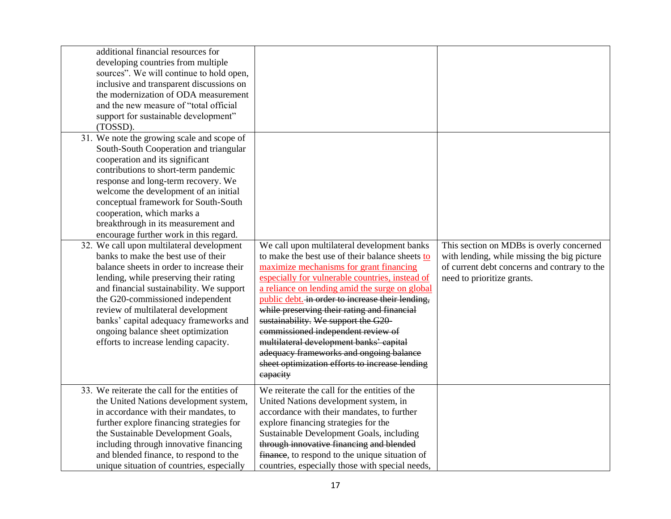| additional financial resources for<br>developing countries from multiple<br>sources". We will continue to hold open,<br>inclusive and transparent discussions on<br>the modernization of ODA measurement<br>and the new measure of "total official<br>support for sustainable development"<br>(TOSSD).<br>31. We note the growing scale and scope of<br>South-South Cooperation and triangular<br>cooperation and its significant<br>contributions to short-term pandemic<br>response and long-term recovery. We<br>welcome the development of an initial |                                                                                                                                                                                                                                                                                                                                                                           |                                                                                                                                                                       |
|-----------------------------------------------------------------------------------------------------------------------------------------------------------------------------------------------------------------------------------------------------------------------------------------------------------------------------------------------------------------------------------------------------------------------------------------------------------------------------------------------------------------------------------------------------------|---------------------------------------------------------------------------------------------------------------------------------------------------------------------------------------------------------------------------------------------------------------------------------------------------------------------------------------------------------------------------|-----------------------------------------------------------------------------------------------------------------------------------------------------------------------|
| conceptual framework for South-South<br>cooperation, which marks a<br>breakthrough in its measurement and<br>encourage further work in this regard.<br>32. We call upon multilateral development<br>banks to make the best use of their<br>balance sheets in order to increase their<br>lending, while preserving their rating<br>and financial sustainability. We support<br>the G20-commissioned independent<br>review of multilateral development                                                                                                      | We call upon multilateral development banks<br>to make the best use of their balance sheets to<br>maximize mechanisms for grant financing<br>especially for vulnerable countries, instead of<br>a reliance on lending amid the surge on global<br>public debt. in order to increase their lending,<br>while preserving their rating and financial                         | This section on MDBs is overly concerned<br>with lending, while missing the big picture<br>of current debt concerns and contrary to the<br>need to prioritize grants. |
| banks' capital adequacy frameworks and<br>ongoing balance sheet optimization<br>efforts to increase lending capacity.                                                                                                                                                                                                                                                                                                                                                                                                                                     | sustainability. We support the G20-<br>commissioned independent review of<br>multilateral development banks' capital<br>adequacy frameworks and ongoing balance<br>sheet optimization efforts to increase lending<br>eapacity                                                                                                                                             |                                                                                                                                                                       |
| 33. We reiterate the call for the entities of<br>the United Nations development system,<br>in accordance with their mandates, to<br>further explore financing strategies for<br>the Sustainable Development Goals,<br>including through innovative financing<br>and blended finance, to respond to the<br>unique situation of countries, especially                                                                                                                                                                                                       | We reiterate the call for the entities of the<br>United Nations development system, in<br>accordance with their mandates, to further<br>explore financing strategies for the<br>Sustainable Development Goals, including<br>through innovative financing and blended<br>finance, to respond to the unique situation of<br>countries, especially those with special needs, |                                                                                                                                                                       |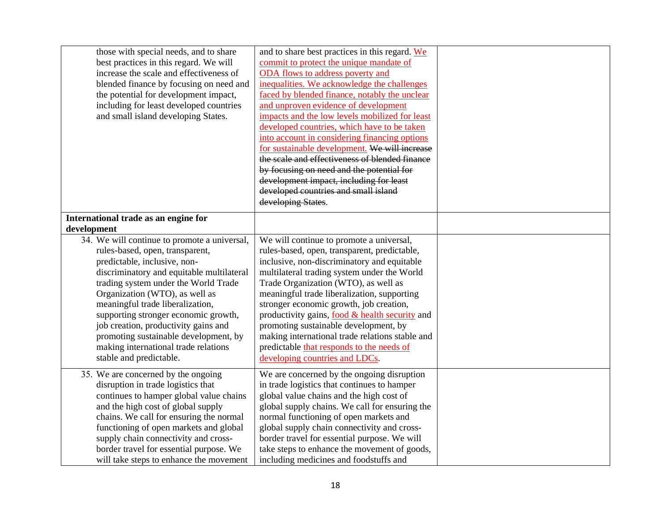| those with special needs, and to share       | and to share best practices in this regard. We  |  |
|----------------------------------------------|-------------------------------------------------|--|
| best practices in this regard. We will       | commit to protect the unique mandate of         |  |
| increase the scale and effectiveness of      | ODA flows to address poverty and                |  |
| blended finance by focusing on need and      | inequalities. We acknowledge the challenges     |  |
| the potential for development impact,        | faced by blended finance, notably the unclear   |  |
| including for least developed countries      | and unproven evidence of development            |  |
| and small island developing States.          | impacts and the low levels mobilized for least  |  |
|                                              | developed countries, which have to be taken     |  |
|                                              | into account in considering financing options   |  |
|                                              | for sustainable development. We will increase   |  |
|                                              | the scale and effectiveness of blended finance  |  |
|                                              | by focusing on need and the potential for       |  |
|                                              | development impact, including for least         |  |
|                                              | developed countries and small island            |  |
|                                              | developing States.                              |  |
|                                              |                                                 |  |
| International trade as an engine for         |                                                 |  |
| development                                  |                                                 |  |
| 34. We will continue to promote a universal, | We will continue to promote a universal,        |  |
| rules-based, open, transparent,              | rules-based, open, transparent, predictable,    |  |
| predictable, inclusive, non-                 | inclusive, non-discriminatory and equitable     |  |
| discriminatory and equitable multilateral    | multilateral trading system under the World     |  |
| trading system under the World Trade         | Trade Organization (WTO), as well as            |  |
| Organization (WTO), as well as               | meaningful trade liberalization, supporting     |  |
| meaningful trade liberalization,             | stronger economic growth, job creation,         |  |
| supporting stronger economic growth,         | productivity gains, food & health security and  |  |
| job creation, productivity gains and         | promoting sustainable development, by           |  |
| promoting sustainable development, by        | making international trade relations stable and |  |
| making international trade relations         | predictable that responds to the needs of       |  |
| stable and predictable.                      | developing countries and LDCs.                  |  |
|                                              |                                                 |  |
| 35. We are concerned by the ongoing          | We are concerned by the ongoing disruption      |  |
| disruption in trade logistics that           | in trade logistics that continues to hamper     |  |
| continues to hamper global value chains      | global value chains and the high cost of        |  |
| and the high cost of global supply           | global supply chains. We call for ensuring the  |  |
| chains. We call for ensuring the normal      | normal functioning of open markets and          |  |
| functioning of open markets and global       | global supply chain connectivity and cross-     |  |
| supply chain connectivity and cross-         | border travel for essential purpose. We will    |  |
| border travel for essential purpose. We      | take steps to enhance the movement of goods,    |  |
| will take steps to enhance the movement      | including medicines and foodstuffs and          |  |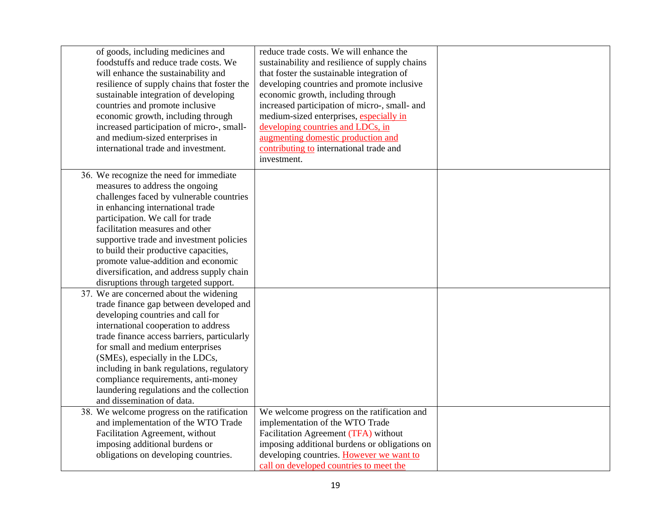| of goods, including medicines and           | reduce trade costs. We will enhance the        |  |
|---------------------------------------------|------------------------------------------------|--|
| foodstuffs and reduce trade costs. We       | sustainability and resilience of supply chains |  |
| will enhance the sustainability and         | that foster the sustainable integration of     |  |
| resilience of supply chains that foster the | developing countries and promote inclusive     |  |
|                                             |                                                |  |
| sustainable integration of developing       | economic growth, including through             |  |
| countries and promote inclusive             | increased participation of micro-, small- and  |  |
| economic growth, including through          | medium-sized enterprises, especially in        |  |
| increased participation of micro-, small-   | developing countries and LDCs, in              |  |
| and medium-sized enterprises in             | augmenting domestic production and             |  |
| international trade and investment.         | contributing to international trade and        |  |
|                                             | investment.                                    |  |
| 36. We recognize the need for immediate     |                                                |  |
| measures to address the ongoing             |                                                |  |
|                                             |                                                |  |
| challenges faced by vulnerable countries    |                                                |  |
| in enhancing international trade            |                                                |  |
| participation. We call for trade            |                                                |  |
| facilitation measures and other             |                                                |  |
| supportive trade and investment policies    |                                                |  |
| to build their productive capacities,       |                                                |  |
| promote value-addition and economic         |                                                |  |
| diversification, and address supply chain   |                                                |  |
| disruptions through targeted support.       |                                                |  |
| 37. We are concerned about the widening     |                                                |  |
| trade finance gap between developed and     |                                                |  |
| developing countries and call for           |                                                |  |
| international cooperation to address        |                                                |  |
| trade finance access barriers, particularly |                                                |  |
| for small and medium enterprises            |                                                |  |
| (SMEs), especially in the LDCs,             |                                                |  |
| including in bank regulations, regulatory   |                                                |  |
| compliance requirements, anti-money         |                                                |  |
| laundering regulations and the collection   |                                                |  |
|                                             |                                                |  |
| and dissemination of data.                  |                                                |  |
| 38. We welcome progress on the ratification | We welcome progress on the ratification and    |  |
| and implementation of the WTO Trade         | implementation of the WTO Trade                |  |
| Facilitation Agreement, without             | Facilitation Agreement (TFA) without           |  |
| imposing additional burdens or              | imposing additional burdens or obligations on  |  |
| obligations on developing countries.        | developing countries. However we want to       |  |
|                                             | call on developed countries to meet the        |  |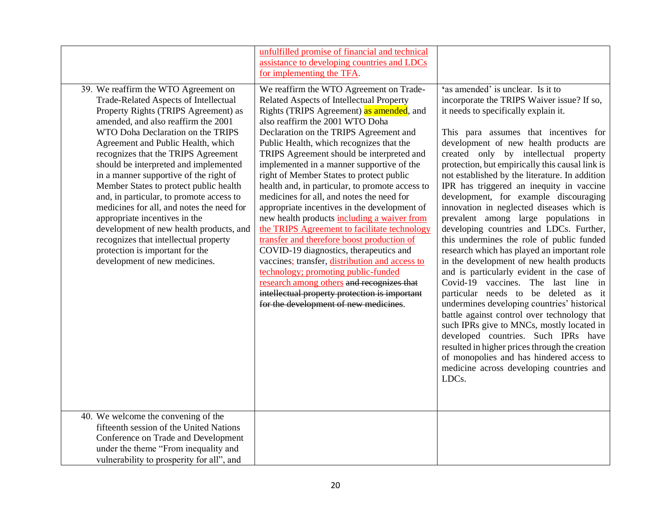|                                                                                                                                                                                                                                                                                                                                                                                                                                                                                                                                                                                                                                                                                               | unfulfilled promise of financial and technical<br>assistance to developing countries and LDCs<br>for implementing the TFA.                                                                                                                                                                                                                                                                                                                                                                                                                                                                                                                                                                                                                                                                                                                                                                                                                                            |                                                                                                                                                                                                                                                                                                                                                                                                                                                                                                                                                                                                                                                                                                                                                                                                                                                                                                                                                                                                                                                                                                                                                                                          |
|-----------------------------------------------------------------------------------------------------------------------------------------------------------------------------------------------------------------------------------------------------------------------------------------------------------------------------------------------------------------------------------------------------------------------------------------------------------------------------------------------------------------------------------------------------------------------------------------------------------------------------------------------------------------------------------------------|-----------------------------------------------------------------------------------------------------------------------------------------------------------------------------------------------------------------------------------------------------------------------------------------------------------------------------------------------------------------------------------------------------------------------------------------------------------------------------------------------------------------------------------------------------------------------------------------------------------------------------------------------------------------------------------------------------------------------------------------------------------------------------------------------------------------------------------------------------------------------------------------------------------------------------------------------------------------------|------------------------------------------------------------------------------------------------------------------------------------------------------------------------------------------------------------------------------------------------------------------------------------------------------------------------------------------------------------------------------------------------------------------------------------------------------------------------------------------------------------------------------------------------------------------------------------------------------------------------------------------------------------------------------------------------------------------------------------------------------------------------------------------------------------------------------------------------------------------------------------------------------------------------------------------------------------------------------------------------------------------------------------------------------------------------------------------------------------------------------------------------------------------------------------------|
| 39. We reaffirm the WTO Agreement on<br>Trade-Related Aspects of Intellectual<br>Property Rights (TRIPS Agreement) as<br>amended, and also reaffirm the 2001<br>WTO Doha Declaration on the TRIPS<br>Agreement and Public Health, which<br>recognizes that the TRIPS Agreement<br>should be interpreted and implemented<br>in a manner supportive of the right of<br>Member States to protect public health<br>and, in particular, to promote access to<br>medicines for all, and notes the need for<br>appropriate incentives in the<br>development of new health products, and<br>recognizes that intellectual property<br>protection is important for the<br>development of new medicines. | We reaffirm the WTO Agreement on Trade-<br>Related Aspects of Intellectual Property<br>Rights (TRIPS Agreement) as amended, and<br>also reaffirm the 2001 WTO Doha<br>Declaration on the TRIPS Agreement and<br>Public Health, which recognizes that the<br>TRIPS Agreement should be interpreted and<br>implemented in a manner supportive of the<br>right of Member States to protect public<br>health and, in particular, to promote access to<br>medicines for all, and notes the need for<br>appropriate incentives in the development of<br>new health products including a waiver from<br>the TRIPS Agreement to facilitate technology<br>transfer and therefore boost production of<br>COVID-19 diagnostics, therapeutics and<br>vaccines; transfer, distribution and access to<br>technology; promoting public-funded<br>research among others and recognizes that<br>intellectual property protection is important<br>for the development of new medicines. | 'as amended' is unclear. Is it to<br>incorporate the TRIPS Waiver issue? If so,<br>it needs to specifically explain it.<br>This para assumes that incentives for<br>development of new health products are<br>created only by intellectual property<br>protection, but empirically this causal link is<br>not established by the literature. In addition<br>IPR has triggered an inequity in vaccine<br>development, for example discouraging<br>innovation in neglected diseases which is<br>prevalent among large populations in<br>developing countries and LDCs. Further,<br>this undermines the role of public funded<br>research which has played an important role<br>in the development of new health products<br>and is particularly evident in the case of<br>Covid-19 vaccines. The last line in<br>particular needs to be deleted as it<br>undermines developing countries' historical<br>battle against control over technology that<br>such IPRs give to MNCs, mostly located in<br>developed countries. Such IPRs have<br>resulted in higher prices through the creation<br>of monopolies and has hindered access to<br>medicine across developing countries and<br>LDCs. |
| 40. We welcome the convening of the<br>fifteenth session of the United Nations<br>Conference on Trade and Development<br>under the theme "From inequality and<br>vulnerability to prosperity for all", and                                                                                                                                                                                                                                                                                                                                                                                                                                                                                    |                                                                                                                                                                                                                                                                                                                                                                                                                                                                                                                                                                                                                                                                                                                                                                                                                                                                                                                                                                       |                                                                                                                                                                                                                                                                                                                                                                                                                                                                                                                                                                                                                                                                                                                                                                                                                                                                                                                                                                                                                                                                                                                                                                                          |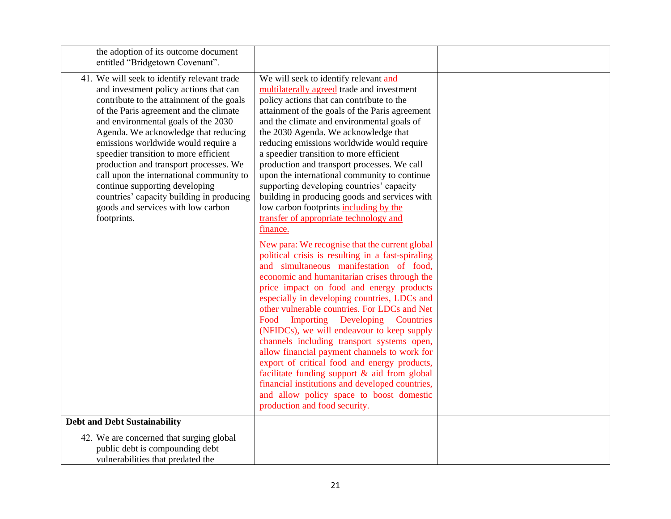| the adoption of its outcome document<br>entitled "Bridgetown Covenant".                                                                                                                                                                                                                                                                                                                                                                                                                                                                                               |                                                                                                                                                                                                                                                                                                                                                                                                                                                                                                                                                                                                                                                                                                                                                                            |  |
|-----------------------------------------------------------------------------------------------------------------------------------------------------------------------------------------------------------------------------------------------------------------------------------------------------------------------------------------------------------------------------------------------------------------------------------------------------------------------------------------------------------------------------------------------------------------------|----------------------------------------------------------------------------------------------------------------------------------------------------------------------------------------------------------------------------------------------------------------------------------------------------------------------------------------------------------------------------------------------------------------------------------------------------------------------------------------------------------------------------------------------------------------------------------------------------------------------------------------------------------------------------------------------------------------------------------------------------------------------------|--|
| 41. We will seek to identify relevant trade<br>and investment policy actions that can<br>contribute to the attainment of the goals<br>of the Paris agreement and the climate<br>and environmental goals of the 2030<br>Agenda. We acknowledge that reducing<br>emissions worldwide would require a<br>speedier transition to more efficient<br>production and transport processes. We<br>call upon the international community to<br>continue supporting developing<br>countries' capacity building in producing<br>goods and services with low carbon<br>footprints. | We will seek to identify relevant and<br>multilaterally agreed trade and investment<br>policy actions that can contribute to the<br>attainment of the goals of the Paris agreement<br>and the climate and environmental goals of<br>the 2030 Agenda. We acknowledge that<br>reducing emissions worldwide would require<br>a speedier transition to more efficient<br>production and transport processes. We call<br>upon the international community to continue<br>supporting developing countries' capacity<br>building in producing goods and services with<br>low carbon footprints including by the<br>transfer of appropriate technology and<br>finance.                                                                                                             |  |
|                                                                                                                                                                                                                                                                                                                                                                                                                                                                                                                                                                       | New para: We recognise that the current global<br>political crisis is resulting in a fast-spiraling<br>and simultaneous manifestation of food,<br>economic and humanitarian crises through the<br>price impact on food and energy products<br>especially in developing countries, LDCs and<br>other vulnerable countries. For LDCs and Net<br>Food Importing Developing<br><b>Countries</b><br>(NFIDCs), we will endeavour to keep supply<br>channels including transport systems open,<br>allow financial payment channels to work for<br>export of critical food and energy products,<br>facilitate funding support $\&$ aid from global<br>financial institutions and developed countries,<br>and allow policy space to boost domestic<br>production and food security. |  |
| <b>Debt and Debt Sustainability</b>                                                                                                                                                                                                                                                                                                                                                                                                                                                                                                                                   |                                                                                                                                                                                                                                                                                                                                                                                                                                                                                                                                                                                                                                                                                                                                                                            |  |
| 42. We are concerned that surging global<br>public debt is compounding debt<br>vulnerabilities that predated the                                                                                                                                                                                                                                                                                                                                                                                                                                                      |                                                                                                                                                                                                                                                                                                                                                                                                                                                                                                                                                                                                                                                                                                                                                                            |  |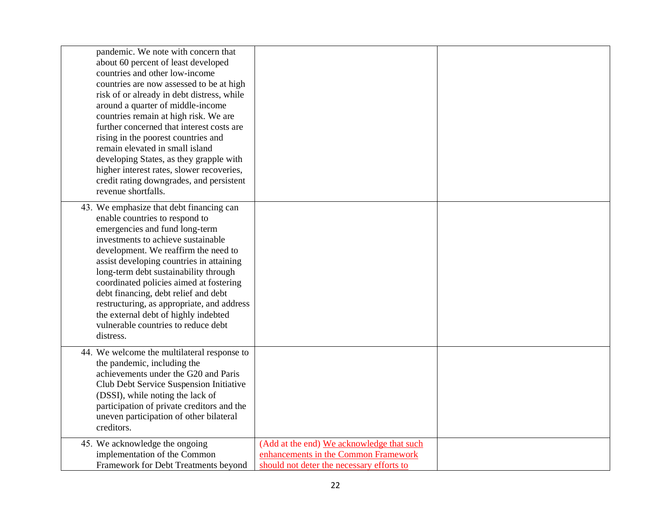| pandemic. We note with concern that<br>about 60 percent of least developed<br>countries and other low-income<br>countries are now assessed to be at high<br>risk of or already in debt distress, while<br>around a quarter of middle-income<br>countries remain at high risk. We are<br>further concerned that interest costs are<br>rising in the poorest countries and<br>remain elevated in small island<br>developing States, as they grapple with<br>higher interest rates, slower recoveries,<br>credit rating downgrades, and persistent<br>revenue shortfalls. |                                                                                                                                |  |
|------------------------------------------------------------------------------------------------------------------------------------------------------------------------------------------------------------------------------------------------------------------------------------------------------------------------------------------------------------------------------------------------------------------------------------------------------------------------------------------------------------------------------------------------------------------------|--------------------------------------------------------------------------------------------------------------------------------|--|
| 43. We emphasize that debt financing can<br>enable countries to respond to<br>emergencies and fund long-term<br>investments to achieve sustainable<br>development. We reaffirm the need to<br>assist developing countries in attaining<br>long-term debt sustainability through<br>coordinated policies aimed at fostering<br>debt financing, debt relief and debt<br>restructuring, as appropriate, and address<br>the external debt of highly indebted<br>vulnerable countries to reduce debt<br>distress.                                                           |                                                                                                                                |  |
| 44. We welcome the multilateral response to<br>the pandemic, including the<br>achievements under the G20 and Paris<br>Club Debt Service Suspension Initiative<br>(DSSI), while noting the lack of<br>participation of private creditors and the<br>uneven participation of other bilateral<br>creditors.                                                                                                                                                                                                                                                               |                                                                                                                                |  |
| 45. We acknowledge the ongoing<br>implementation of the Common<br>Framework for Debt Treatments beyond                                                                                                                                                                                                                                                                                                                                                                                                                                                                 | (Add at the end) We acknowledge that such<br>enhancements in the Common Framework<br>should not deter the necessary efforts to |  |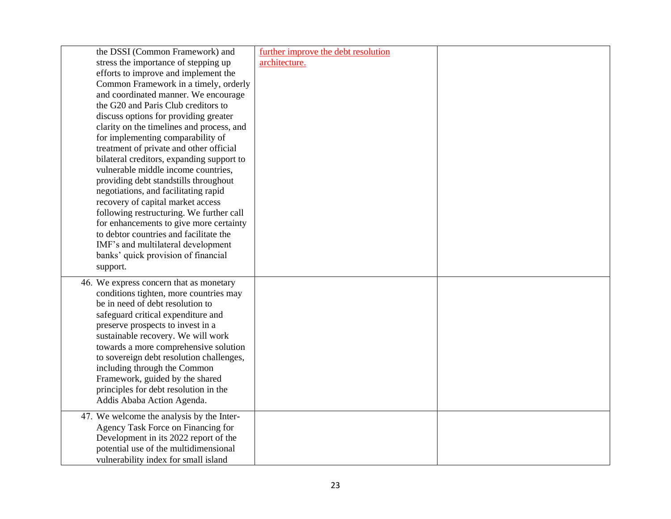| the DSSI (Common Framework) and           | further improve the debt resolution |  |
|-------------------------------------------|-------------------------------------|--|
| stress the importance of stepping up      | architecture.                       |  |
| efforts to improve and implement the      |                                     |  |
| Common Framework in a timely, orderly     |                                     |  |
| and coordinated manner. We encourage      |                                     |  |
| the G20 and Paris Club creditors to       |                                     |  |
| discuss options for providing greater     |                                     |  |
| clarity on the timelines and process, and |                                     |  |
| for implementing comparability of         |                                     |  |
| treatment of private and other official   |                                     |  |
| bilateral creditors, expanding support to |                                     |  |
| vulnerable middle income countries,       |                                     |  |
| providing debt standstills throughout     |                                     |  |
| negotiations, and facilitating rapid      |                                     |  |
| recovery of capital market access         |                                     |  |
| following restructuring. We further call  |                                     |  |
| for enhancements to give more certainty   |                                     |  |
| to debtor countries and facilitate the    |                                     |  |
| IMF's and multilateral development        |                                     |  |
| banks' quick provision of financial       |                                     |  |
| support.                                  |                                     |  |
| 46. We express concern that as monetary   |                                     |  |
| conditions tighten, more countries may    |                                     |  |
| be in need of debt resolution to          |                                     |  |
| safeguard critical expenditure and        |                                     |  |
| preserve prospects to invest in a         |                                     |  |
| sustainable recovery. We will work        |                                     |  |
| towards a more comprehensive solution     |                                     |  |
| to sovereign debt resolution challenges,  |                                     |  |
| including through the Common              |                                     |  |
| Framework, guided by the shared           |                                     |  |
| principles for debt resolution in the     |                                     |  |
| Addis Ababa Action Agenda.                |                                     |  |
| 47. We welcome the analysis by the Inter- |                                     |  |
| Agency Task Force on Financing for        |                                     |  |
| Development in its 2022 report of the     |                                     |  |
| potential use of the multidimensional     |                                     |  |
| vulnerability index for small island      |                                     |  |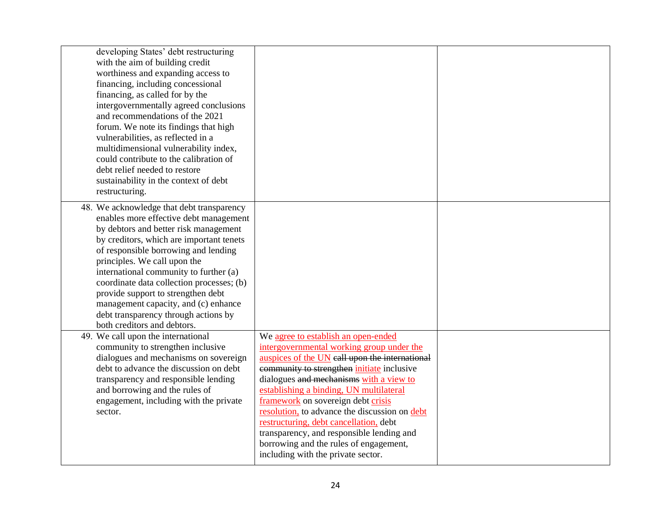| developing States' debt restructuring<br>with the aim of building credit<br>worthiness and expanding access to<br>financing, including concessional<br>financing, as called for by the<br>intergovernmentally agreed conclusions<br>and recommendations of the 2021<br>forum. We note its findings that high<br>vulnerabilities, as reflected in a<br>multidimensional vulnerability index,<br>could contribute to the calibration of<br>debt relief needed to restore<br>sustainability in the context of debt<br>restructuring. |                                                                                                                                                                                                                                                                                                                                                                                                                                                                                                                                             |  |
|-----------------------------------------------------------------------------------------------------------------------------------------------------------------------------------------------------------------------------------------------------------------------------------------------------------------------------------------------------------------------------------------------------------------------------------------------------------------------------------------------------------------------------------|---------------------------------------------------------------------------------------------------------------------------------------------------------------------------------------------------------------------------------------------------------------------------------------------------------------------------------------------------------------------------------------------------------------------------------------------------------------------------------------------------------------------------------------------|--|
| 48. We acknowledge that debt transparency<br>enables more effective debt management<br>by debtors and better risk management<br>by creditors, which are important tenets<br>of responsible borrowing and lending<br>principles. We call upon the<br>international community to further (a)<br>coordinate data collection processes; (b)<br>provide support to strengthen debt<br>management capacity, and (c) enhance<br>debt transparency through actions by<br>both creditors and debtors.                                      |                                                                                                                                                                                                                                                                                                                                                                                                                                                                                                                                             |  |
| 49. We call upon the international<br>community to strengthen inclusive<br>dialogues and mechanisms on sovereign<br>debt to advance the discussion on debt<br>transparency and responsible lending<br>and borrowing and the rules of<br>engagement, including with the private<br>sector.                                                                                                                                                                                                                                         | We agree to establish an open-ended<br>intergovernmental working group under the<br>auspices of the UN eall upon the international<br>community to strengthen <i>initiate</i> inclusive<br>dialogues and mechanisms with a view to<br>establishing a binding, UN multilateral<br>framework on sovereign debt crisis<br>resolution, to advance the discussion on debt<br>restructuring, debt cancellation, debt<br>transparency, and responsible lending and<br>borrowing and the rules of engagement,<br>including with the private sector. |  |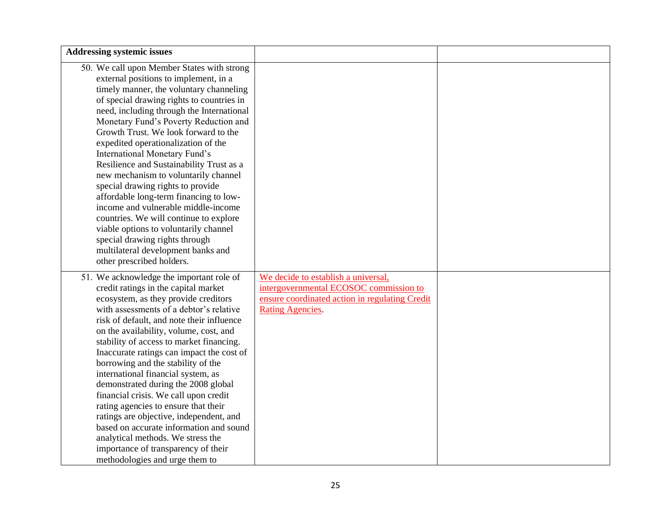| <b>Addressing systemic issues</b>                                                                                                                                                                                                                                                                                                                                                                                                                                                                                                                                                                                                                                                                                                                                                   |                                                                                                                                                            |  |
|-------------------------------------------------------------------------------------------------------------------------------------------------------------------------------------------------------------------------------------------------------------------------------------------------------------------------------------------------------------------------------------------------------------------------------------------------------------------------------------------------------------------------------------------------------------------------------------------------------------------------------------------------------------------------------------------------------------------------------------------------------------------------------------|------------------------------------------------------------------------------------------------------------------------------------------------------------|--|
| 50. We call upon Member States with strong<br>external positions to implement, in a<br>timely manner, the voluntary channeling<br>of special drawing rights to countries in<br>need, including through the International<br>Monetary Fund's Poverty Reduction and<br>Growth Trust. We look forward to the<br>expedited operationalization of the<br>International Monetary Fund's<br>Resilience and Sustainability Trust as a<br>new mechanism to voluntarily channel<br>special drawing rights to provide<br>affordable long-term financing to low-<br>income and vulnerable middle-income<br>countries. We will continue to explore<br>viable options to voluntarily channel<br>special drawing rights through<br>multilateral development banks and<br>other prescribed holders. |                                                                                                                                                            |  |
| 51. We acknowledge the important role of<br>credit ratings in the capital market<br>ecosystem, as they provide creditors<br>with assessments of a debtor's relative<br>risk of default, and note their influence<br>on the availability, volume, cost, and<br>stability of access to market financing.<br>Inaccurate ratings can impact the cost of<br>borrowing and the stability of the<br>international financial system, as<br>demonstrated during the 2008 global<br>financial crisis. We call upon credit<br>rating agencies to ensure that their<br>ratings are objective, independent, and<br>based on accurate information and sound<br>analytical methods. We stress the<br>importance of transparency of their<br>methodologies and urge them to                         | We decide to establish a universal,<br>intergovernmental ECOSOC commission to<br>ensure coordinated action in regulating Credit<br><b>Rating Agencies.</b> |  |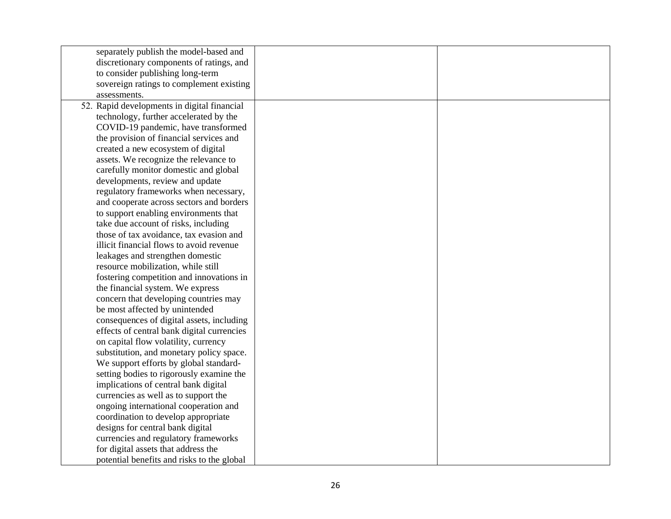| separately publish the model-based and      |  |
|---------------------------------------------|--|
| discretionary components of ratings, and    |  |
| to consider publishing long-term            |  |
| sovereign ratings to complement existing    |  |
| assessments.                                |  |
| 52. Rapid developments in digital financial |  |
| technology, further accelerated by the      |  |
| COVID-19 pandemic, have transformed         |  |
| the provision of financial services and     |  |
| created a new ecosystem of digital          |  |
| assets. We recognize the relevance to       |  |
| carefully monitor domestic and global       |  |
| developments, review and update             |  |
| regulatory frameworks when necessary,       |  |
| and cooperate across sectors and borders    |  |
| to support enabling environments that       |  |
| take due account of risks, including        |  |
| those of tax avoidance, tax evasion and     |  |
| illicit financial flows to avoid revenue    |  |
| leakages and strengthen domestic            |  |
| resource mobilization, while still          |  |
| fostering competition and innovations in    |  |
| the financial system. We express            |  |
| concern that developing countries may       |  |
| be most affected by unintended              |  |
| consequences of digital assets, including   |  |
| effects of central bank digital currencies  |  |
| on capital flow volatility, currency        |  |
| substitution, and monetary policy space.    |  |
| We support efforts by global standard-      |  |
| setting bodies to rigorously examine the    |  |
| implications of central bank digital        |  |
| currencies as well as to support the        |  |
| ongoing international cooperation and       |  |
| coordination to develop appropriate         |  |
| designs for central bank digital            |  |
| currencies and regulatory frameworks        |  |
| for digital assets that address the         |  |
| potential benefits and risks to the global  |  |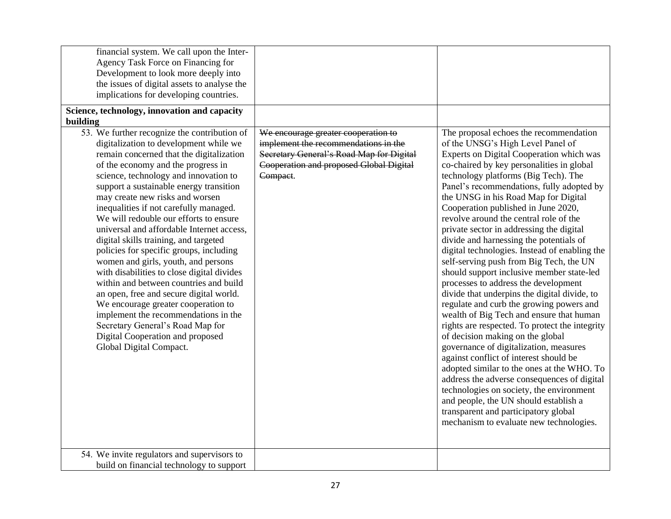| financial system. We call upon the Inter-<br>Agency Task Force on Financing for<br>Development to look more deeply into<br>the issues of digital assets to analyse the<br>implications for developing countries.<br>Science, technology, innovation and capacity<br>building                                                                                                                                                                                                                                                                                                                                                                                                                                                                                                                                                                                                     |                                                                                                                                                                                |                                                                                                                                                                                                                                                                                                                                                                                                                                                                                                                                                                                                                                                                                                                                                                                                                                                                                                                                                                                                                                                                                                                                                                                                                                                   |
|----------------------------------------------------------------------------------------------------------------------------------------------------------------------------------------------------------------------------------------------------------------------------------------------------------------------------------------------------------------------------------------------------------------------------------------------------------------------------------------------------------------------------------------------------------------------------------------------------------------------------------------------------------------------------------------------------------------------------------------------------------------------------------------------------------------------------------------------------------------------------------|--------------------------------------------------------------------------------------------------------------------------------------------------------------------------------|---------------------------------------------------------------------------------------------------------------------------------------------------------------------------------------------------------------------------------------------------------------------------------------------------------------------------------------------------------------------------------------------------------------------------------------------------------------------------------------------------------------------------------------------------------------------------------------------------------------------------------------------------------------------------------------------------------------------------------------------------------------------------------------------------------------------------------------------------------------------------------------------------------------------------------------------------------------------------------------------------------------------------------------------------------------------------------------------------------------------------------------------------------------------------------------------------------------------------------------------------|
| 53. We further recognize the contribution of<br>digitalization to development while we<br>remain concerned that the digitalization<br>of the economy and the progress in<br>science, technology and innovation to<br>support a sustainable energy transition<br>may create new risks and worsen<br>inequalities if not carefully managed.<br>We will redouble our efforts to ensure<br>universal and affordable Internet access,<br>digital skills training, and targeted<br>policies for specific groups, including<br>women and girls, youth, and persons<br>with disabilities to close digital divides<br>within and between countries and build<br>an open, free and secure digital world.<br>We encourage greater cooperation to<br>implement the recommendations in the<br>Secretary General's Road Map for<br>Digital Cooperation and proposed<br>Global Digital Compact. | We encourage greater cooperation to<br>implement the recommendations in the<br>Secretary General's Road Map for Digital<br>Cooperation and proposed Global Digital<br>Compact. | The proposal echoes the recommendation<br>of the UNSG's High Level Panel of<br>Experts on Digital Cooperation which was<br>co-chaired by key personalities in global<br>technology platforms (Big Tech). The<br>Panel's recommendations, fully adopted by<br>the UNSG in his Road Map for Digital<br>Cooperation published in June 2020,<br>revolve around the central role of the<br>private sector in addressing the digital<br>divide and harnessing the potentials of<br>digital technologies. Instead of enabling the<br>self-serving push from Big Tech, the UN<br>should support inclusive member state-led<br>processes to address the development<br>divide that underpins the digital divide, to<br>regulate and curb the growing powers and<br>wealth of Big Tech and ensure that human<br>rights are respected. To protect the integrity<br>of decision making on the global<br>governance of digitalization, measures<br>against conflict of interest should be<br>adopted similar to the ones at the WHO. To<br>address the adverse consequences of digital<br>technologies on society, the environment<br>and people, the UN should establish a<br>transparent and participatory global<br>mechanism to evaluate new technologies. |
| 54. We invite regulators and supervisors to<br>build on financial technology to support                                                                                                                                                                                                                                                                                                                                                                                                                                                                                                                                                                                                                                                                                                                                                                                          |                                                                                                                                                                                |                                                                                                                                                                                                                                                                                                                                                                                                                                                                                                                                                                                                                                                                                                                                                                                                                                                                                                                                                                                                                                                                                                                                                                                                                                                   |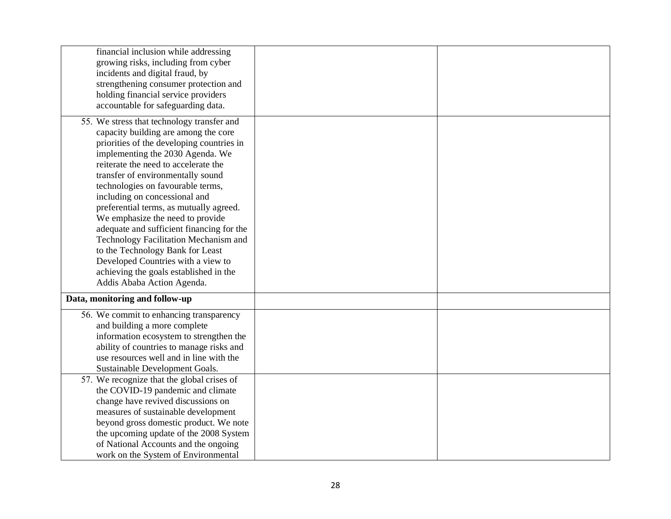| financial inclusion while addressing<br>growing risks, including from cyber<br>incidents and digital fraud, by<br>strengthening consumer protection and<br>holding financial service providers<br>accountable for safeguarding data.                                                                                                                                                                                                                                                                                                                                                                                                          |  |
|-----------------------------------------------------------------------------------------------------------------------------------------------------------------------------------------------------------------------------------------------------------------------------------------------------------------------------------------------------------------------------------------------------------------------------------------------------------------------------------------------------------------------------------------------------------------------------------------------------------------------------------------------|--|
| 55. We stress that technology transfer and<br>capacity building are among the core<br>priorities of the developing countries in<br>implementing the 2030 Agenda. We<br>reiterate the need to accelerate the<br>transfer of environmentally sound<br>technologies on favourable terms,<br>including on concessional and<br>preferential terms, as mutually agreed.<br>We emphasize the need to provide<br>adequate and sufficient financing for the<br>Technology Facilitation Mechanism and<br>to the Technology Bank for Least<br>Developed Countries with a view to<br>achieving the goals established in the<br>Addis Ababa Action Agenda. |  |
| Data, monitoring and follow-up                                                                                                                                                                                                                                                                                                                                                                                                                                                                                                                                                                                                                |  |
| 56. We commit to enhancing transparency<br>and building a more complete<br>information ecosystem to strengthen the<br>ability of countries to manage risks and<br>use resources well and in line with the<br>Sustainable Development Goals.                                                                                                                                                                                                                                                                                                                                                                                                   |  |
| 57. We recognize that the global crises of<br>the COVID-19 pandemic and climate<br>change have revived discussions on<br>measures of sustainable development<br>beyond gross domestic product. We note<br>the upcoming update of the 2008 System<br>of National Accounts and the ongoing<br>work on the System of Environmental                                                                                                                                                                                                                                                                                                               |  |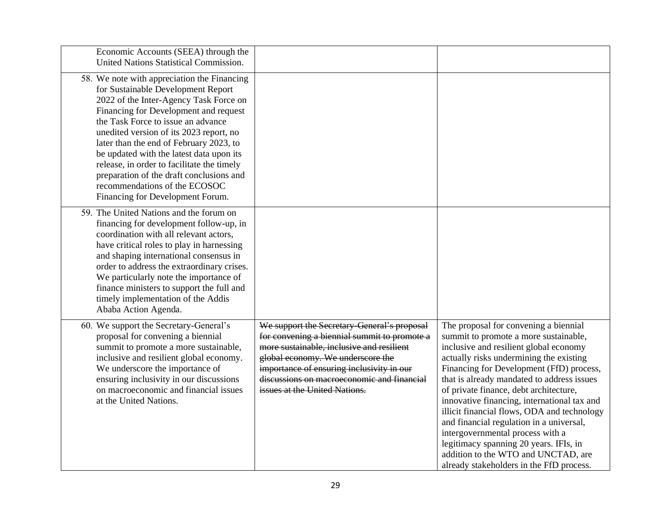| Economic Accounts (SEEA) through the<br>United Nations Statistical Commission.                                                                                                                                                                                                                                                                                                                                                                                                                              |                                                                                                                                                                                                                                                                                                           |                                                                                                                                                                                                                                                                                                                                                                                                                                                                                                                                                                                                                    |
|-------------------------------------------------------------------------------------------------------------------------------------------------------------------------------------------------------------------------------------------------------------------------------------------------------------------------------------------------------------------------------------------------------------------------------------------------------------------------------------------------------------|-----------------------------------------------------------------------------------------------------------------------------------------------------------------------------------------------------------------------------------------------------------------------------------------------------------|--------------------------------------------------------------------------------------------------------------------------------------------------------------------------------------------------------------------------------------------------------------------------------------------------------------------------------------------------------------------------------------------------------------------------------------------------------------------------------------------------------------------------------------------------------------------------------------------------------------------|
| 58. We note with appreciation the Financing<br>for Sustainable Development Report<br>2022 of the Inter-Agency Task Force on<br>Financing for Development and request<br>the Task Force to issue an advance<br>unedited version of its 2023 report, no<br>later than the end of February 2023, to<br>be updated with the latest data upon its<br>release, in order to facilitate the timely<br>preparation of the draft conclusions and<br>recommendations of the ECOSOC<br>Financing for Development Forum. |                                                                                                                                                                                                                                                                                                           |                                                                                                                                                                                                                                                                                                                                                                                                                                                                                                                                                                                                                    |
| 59. The United Nations and the forum on<br>financing for development follow-up, in<br>coordination with all relevant actors,<br>have critical roles to play in harnessing<br>and shaping international consensus in<br>order to address the extraordinary crises.<br>We particularly note the importance of<br>finance ministers to support the full and<br>timely implementation of the Addis<br>Ababa Action Agenda.                                                                                      |                                                                                                                                                                                                                                                                                                           |                                                                                                                                                                                                                                                                                                                                                                                                                                                                                                                                                                                                                    |
| 60. We support the Secretary-General's<br>proposal for convening a biennial<br>summit to promote a more sustainable,<br>inclusive and resilient global economy.<br>We underscore the importance of<br>ensuring inclusivity in our discussions<br>on macroeconomic and financial issues<br>at the United Nations.                                                                                                                                                                                            | We support the Secretary-General's proposal<br>for convening a biennial summit to promote a<br>more sustainable, inclusive and resilient<br>global economy. We underscore the<br>importance of ensuring inclusivity in our<br>discussions on macroeconomic and financial<br>issues at the United Nations. | The proposal for convening a biennial<br>summit to promote a more sustainable,<br>inclusive and resilient global economy<br>actually risks undermining the existing<br>Financing for Development (FfD) process,<br>that is already mandated to address issues<br>of private finance, debt architecture,<br>innovative financing, international tax and<br>illicit financial flows, ODA and technology<br>and financial regulation in a universal,<br>intergovernmental process with a<br>legitimacy spanning 20 years. IFIs, in<br>addition to the WTO and UNCTAD, are<br>already stakeholders in the FfD process. |